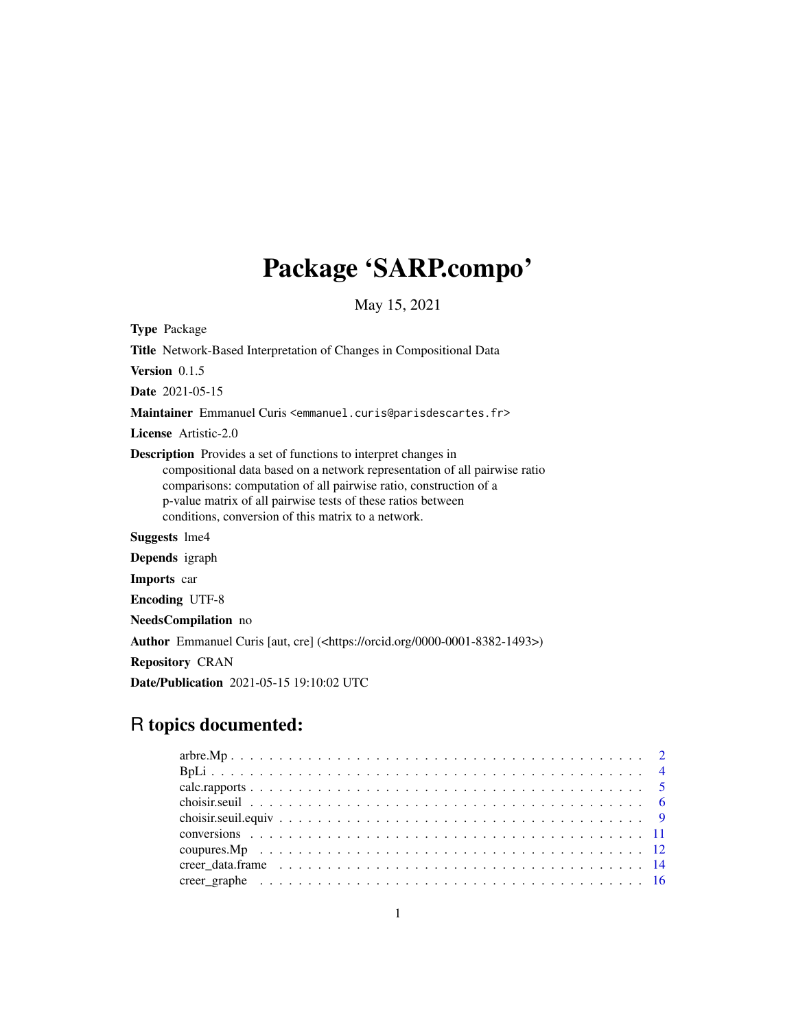# Package 'SARP.compo'

May 15, 2021

<span id="page-0-0"></span>Type Package

Title Network-Based Interpretation of Changes in Compositional Data

Version 0.1.5

Date 2021-05-15

Maintainer Emmanuel Curis <emmanuel.curis@parisdescartes.fr>

License Artistic-2.0

Description Provides a set of functions to interpret changes in compositional data based on a network representation of all pairwise ratio comparisons: computation of all pairwise ratio, construction of a p-value matrix of all pairwise tests of these ratios between conditions, conversion of this matrix to a network.

Suggests lme4

Depends igraph

Imports car

Encoding UTF-8

NeedsCompilation no

Author Emmanuel Curis [aut, cre] (<https://orcid.org/0000-0001-8382-1493>)

Repository CRAN

Date/Publication 2021-05-15 19:10:02 UTC

# R topics documented: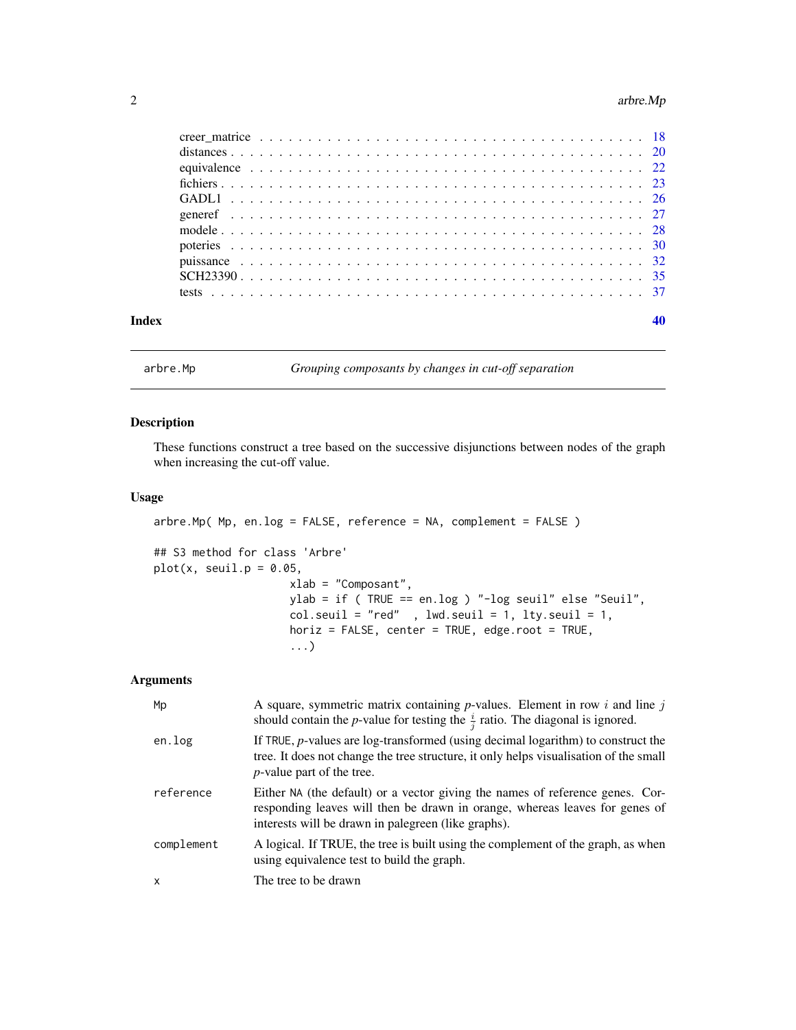#### <span id="page-1-0"></span>2 arbre.Mp

| Index |  |  |  |  |  |  |  |  |  |  |  |  |  |  |  |  |  |  |
|-------|--|--|--|--|--|--|--|--|--|--|--|--|--|--|--|--|--|--|

# <span id="page-1-1"></span>arbre.Mp *Grouping composants by changes in cut-off separation*

# Description

These functions construct a tree based on the successive disjunctions between nodes of the graph when increasing the cut-off value.

#### Usage

```
arbre.Mp( Mp, en.log = FALSE, reference = NA, complement = FALSE )
## S3 method for class 'Arbre'
plot(x, seul1.p = 0.05,xlab = "Composant",
                     ylab = if ( TRUE == en.log ) "-log seuil" else "Seuil",
                     col.seuil = "red", 1 \text{wd}.seuil = 1, 1ty.seuil = 1,
                     horiz = FALSE, center = TRUE, edge.root = TRUE,
                     ...)
```

| Mp           | A square, symmetric matrix containing $p$ -values. Element in row i and line j<br>should contain the <i>p</i> -value for testing the $\frac{i}{i}$ ratio. The diagonal is ignored.                                  |
|--------------|---------------------------------------------------------------------------------------------------------------------------------------------------------------------------------------------------------------------|
| en.log       | If TRUE, $p$ -values are log-transformed (using decimal logarithm) to construct the<br>tree. It does not change the tree structure, it only helps visualisation of the small<br><i>p</i> -value part of the tree.   |
| reference    | Either NA (the default) or a vector giving the names of reference genes. Cor-<br>responding leaves will then be drawn in orange, whereas leaves for genes of<br>interests will be drawn in palegreen (like graphs). |
| complement   | A logical. If TRUE, the tree is built using the complement of the graph, as when<br>using equivalence test to build the graph.                                                                                      |
| $\mathsf{x}$ | The tree to be drawn                                                                                                                                                                                                |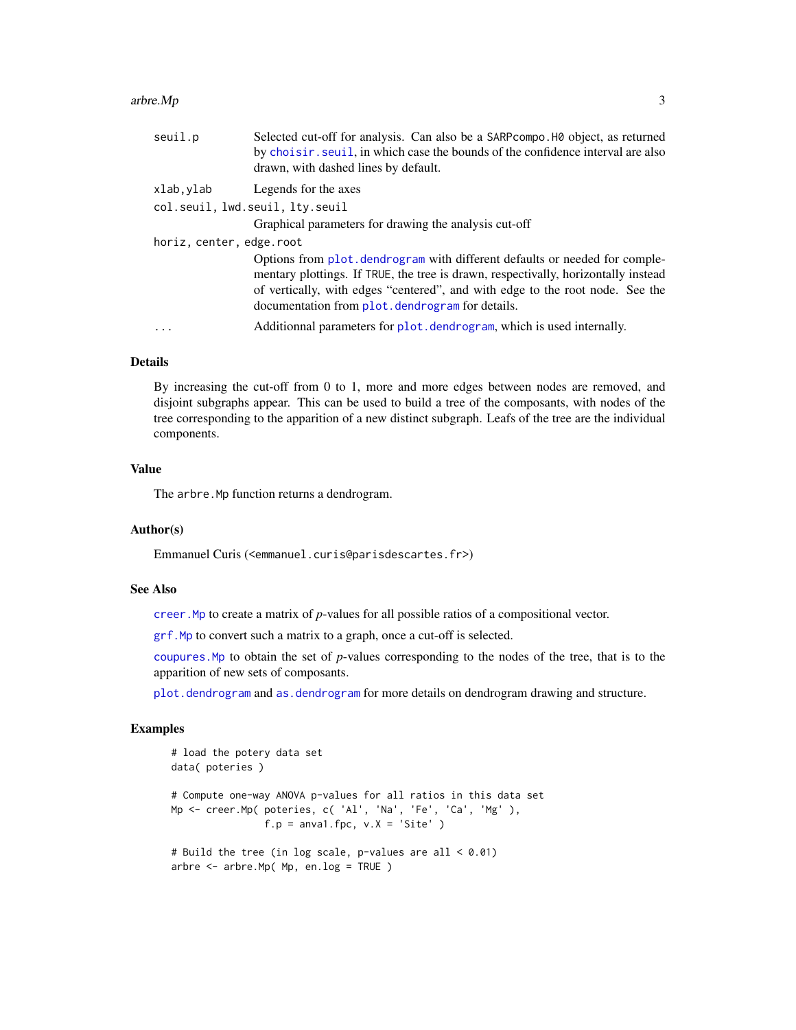#### <span id="page-2-0"></span> $\alpha$  arbre. Mp  $\beta$  3

| seuil.p                  | Selected cut-off for analysis. Can also be a SARP compo. HO object, as returned<br>by choisir. seuil, in which case the bounds of the confidence interval are also<br>drawn, with dashed lines by default.                                                                                             |
|--------------------------|--------------------------------------------------------------------------------------------------------------------------------------------------------------------------------------------------------------------------------------------------------------------------------------------------------|
| xlab,ylab                | Legends for the axes                                                                                                                                                                                                                                                                                   |
|                          | col.seuil, lwd.seuil, lty.seuil                                                                                                                                                                                                                                                                        |
|                          | Graphical parameters for drawing the analysis cut-off                                                                                                                                                                                                                                                  |
| horiz, center, edge.root |                                                                                                                                                                                                                                                                                                        |
|                          | Options from plot, dendrogram with different defaults or needed for comple-<br>mentary plottings. If TRUE, the tree is drawn, respectivally, horizontally instead<br>of vertically, with edges "centered", and with edge to the root node. See the<br>documentation from plot. dendrogram for details. |
| $\cdots$                 | Additionnal parameters for plot. dendrogram, which is used internally.                                                                                                                                                                                                                                 |
|                          |                                                                                                                                                                                                                                                                                                        |

#### Details

By increasing the cut-off from 0 to 1, more and more edges between nodes are removed, and disjoint subgraphs appear. This can be used to build a tree of the composants, with nodes of the tree corresponding to the apparition of a new distinct subgraph. Leafs of the tree are the individual components.

# Value

The arbre. Mp function returns a dendrogram.

# Author(s)

Emmanuel Curis (<emmanuel.curis@parisdescartes.fr>)

# See Also

[creer.Mp](#page-17-1) to create a matrix of *p*-values for all possible ratios of a compositional vector.

[grf.Mp](#page-15-1) to convert such a matrix to a graph, once a cut-off is selected.

[coupures.Mp](#page-11-1) to obtain the set of *p*-values corresponding to the nodes of the tree, that is to the apparition of new sets of composants.

[plot.dendrogram](#page-0-0) and [as.dendrogram](#page-0-0) for more details on dendrogram drawing and structure.

# Examples

```
# load the potery data set
data( poteries )
# Compute one-way ANOVA p-values for all ratios in this data set
Mp <- creer.Mp( poteries, c( 'Al', 'Na', 'Fe', 'Ca', 'Mg' ),
               f.p = anval.fpc, v.X = 'Site')
# Build the tree (in log scale, p-values are all < 0.01)
arbre <- arbre.Mp( Mp, en.log = TRUE )
```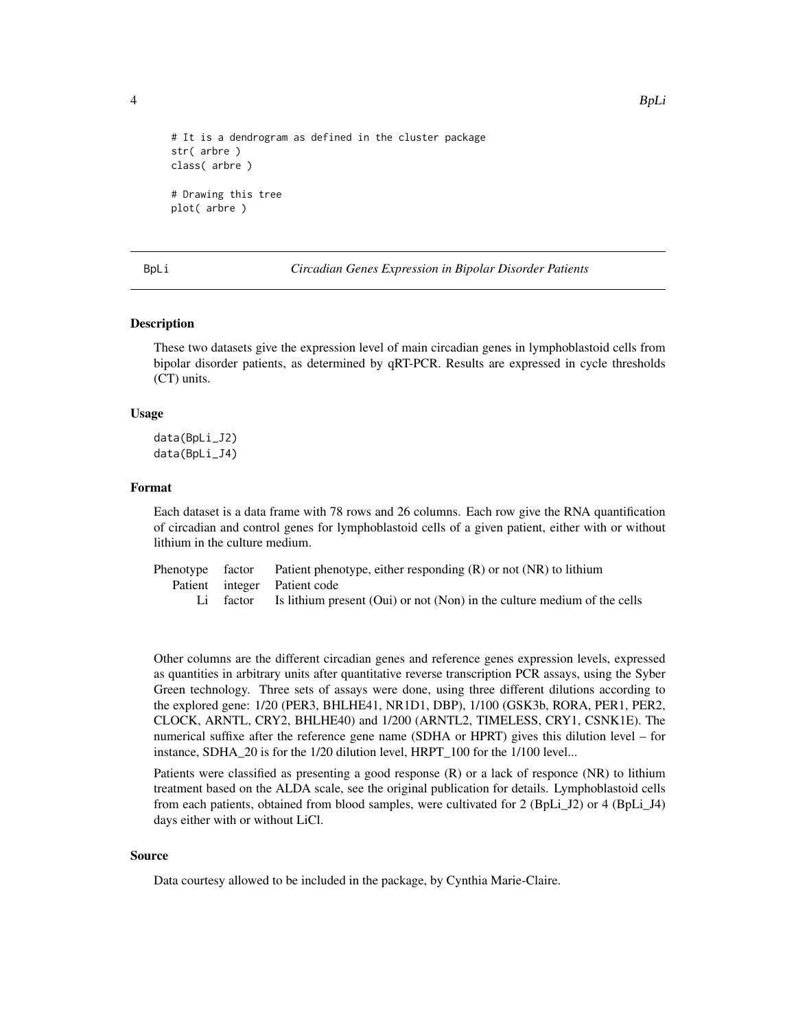```
4 BpLi
```

```
# It is a dendrogram as defined in the cluster package
str( arbre )
class( arbre )
# Drawing this tree
plot( arbre )
```
BpLi *Circadian Genes Expression in Bipolar Disorder Patients*

# **Description**

These two datasets give the expression level of main circadian genes in lymphoblastoid cells from bipolar disorder patients, as determined by qRT-PCR. Results are expressed in cycle thresholds (CT) units.

#### Usage

data(BpLi\_J2) data(BpLi\_J4)

#### Format

Each dataset is a data frame with 78 rows and 26 columns. Each row give the RNA quantification of circadian and control genes for lymphoblastoid cells of a given patient, either with or without lithium in the culture medium.

|  | Phenotype factor Patient phenotype, either responding $(R)$ or not $(NR)$ to lithium |
|--|--------------------------------------------------------------------------------------|
|  | Patient integer Patient code                                                         |
|  | Li factor Is lithium present (Oui) or not (Non) in the culture medium of the cells   |

Other columns are the different circadian genes and reference genes expression levels, expressed as quantities in arbitrary units after quantitative reverse transcription PCR assays, using the Syber Green technology. Three sets of assays were done, using three different dilutions according to the explored gene: 1/20 (PER3, BHLHE41, NR1D1, DBP), 1/100 (GSK3b, RORA, PER1, PER2, CLOCK, ARNTL, CRY2, BHLHE40) and 1/200 (ARNTL2, TIMELESS, CRY1, CSNK1E). The numerical suffixe after the reference gene name (SDHA or HPRT) gives this dilution level – for instance, SDHA\_20 is for the 1/20 dilution level, HRPT\_100 for the 1/100 level...

Patients were classified as presenting a good response (R) or a lack of responce (NR) to lithium treatment based on the ALDA scale, see the original publication for details. Lymphoblastoid cells from each patients, obtained from blood samples, were cultivated for 2 (BpLi\_J2) or 4 (BpLi\_J4) days either with or without LiCl.

#### Source

Data courtesy allowed to be included in the package, by Cynthia Marie-Claire.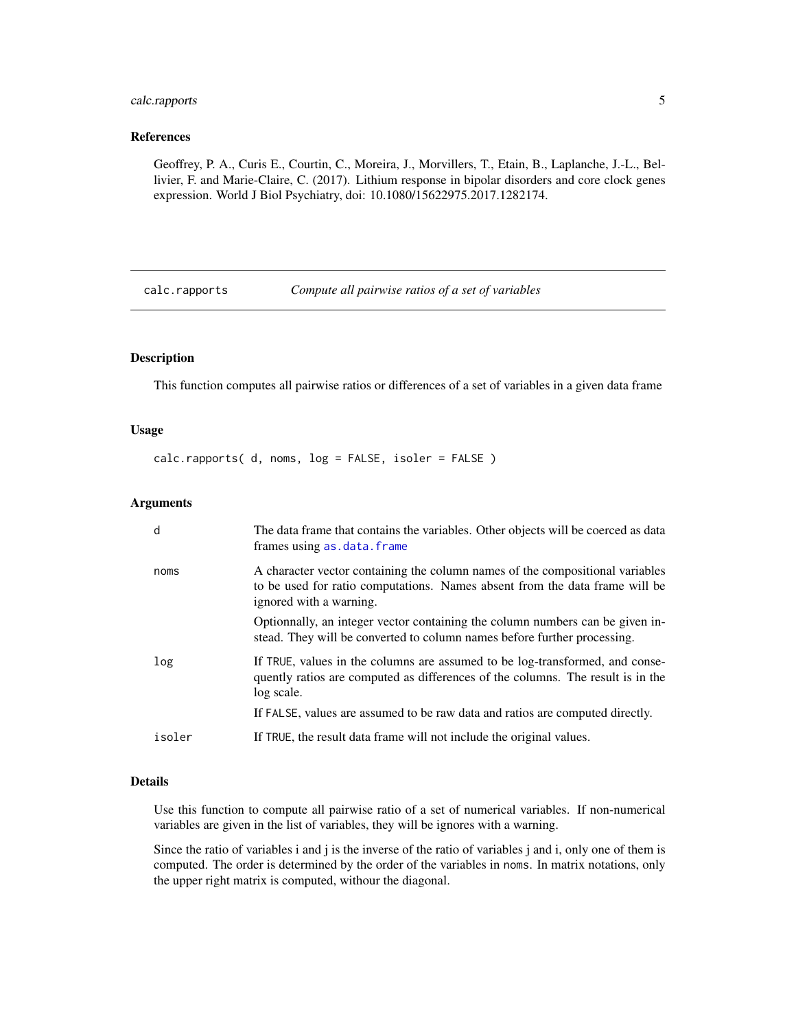# <span id="page-4-0"></span>calc.rapports 5

# References

Geoffrey, P. A., Curis E., Courtin, C., Moreira, J., Morvillers, T., Etain, B., Laplanche, J.-L., Bellivier, F. and Marie-Claire, C. (2017). Lithium response in bipolar disorders and core clock genes expression. World J Biol Psychiatry, doi: 10.1080/15622975.2017.1282174.

calc.rapports *Compute all pairwise ratios of a set of variables*

# Description

This function computes all pairwise ratios or differences of a set of variables in a given data frame

#### Usage

calc.rapports( d, noms, log = FALSE, isoler = FALSE )

# Arguments

| d      | The data frame that contains the variables. Other objects will be coerced as data<br>frames using as.data.frame                                                                         |
|--------|-----------------------------------------------------------------------------------------------------------------------------------------------------------------------------------------|
| noms   | A character vector containing the column names of the compositional variables<br>to be used for ratio computations. Names absent from the data frame will be<br>ignored with a warning. |
|        | Optionnally, an integer vector containing the column numbers can be given in-<br>stead. They will be converted to column names before further processing.                               |
| log    | If TRUE, values in the columns are assumed to be log-transformed, and conse-<br>quently ratios are computed as differences of the columns. The result is in the<br>log scale.           |
|        | If FALSE, values are assumed to be raw data and ratios are computed directly.                                                                                                           |
| isoler | If TRUE, the result data frame will not include the original values.                                                                                                                    |

# Details

Use this function to compute all pairwise ratio of a set of numerical variables. If non-numerical variables are given in the list of variables, they will be ignores with a warning.

Since the ratio of variables i and j is the inverse of the ratio of variables j and i, only one of them is computed. The order is determined by the order of the variables in noms. In matrix notations, only the upper right matrix is computed, withour the diagonal.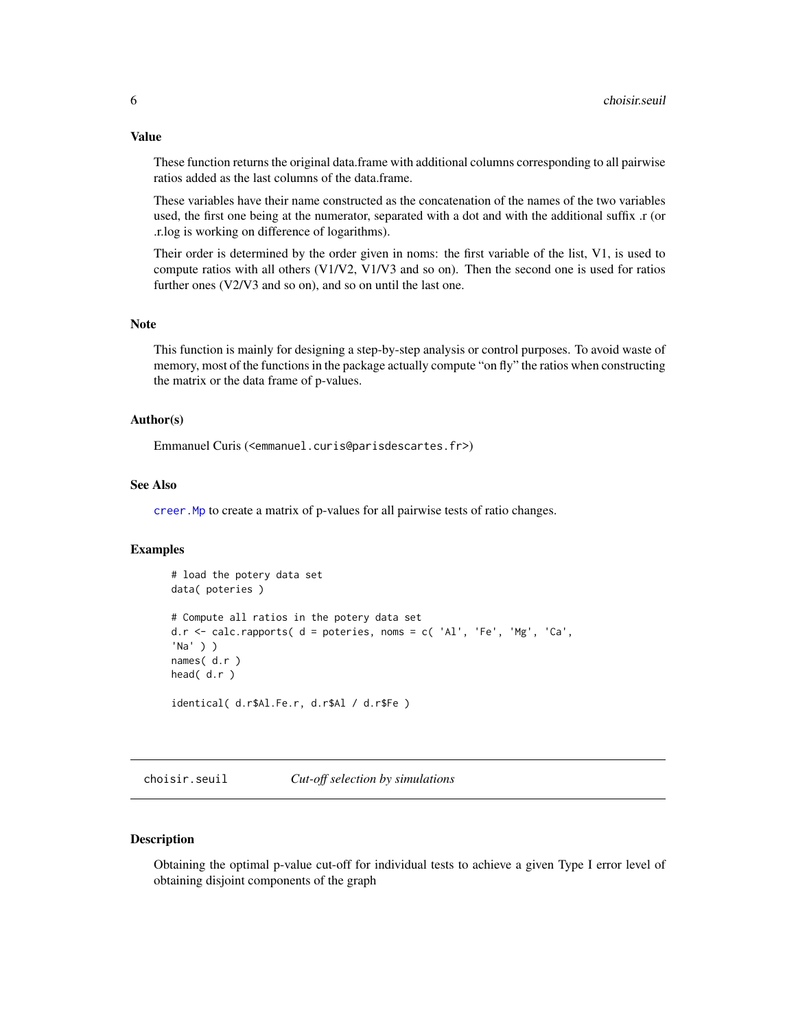These function returns the original data.frame with additional columns corresponding to all pairwise ratios added as the last columns of the data.frame.

These variables have their name constructed as the concatenation of the names of the two variables used, the first one being at the numerator, separated with a dot and with the additional suffix .r (or .r.log is working on difference of logarithms).

Their order is determined by the order given in noms: the first variable of the list, V1, is used to compute ratios with all others (V1/V2, V1/V3 and so on). Then the second one is used for ratios further ones (V2/V3 and so on), and so on until the last one.

#### Note

This function is mainly for designing a step-by-step analysis or control purposes. To avoid waste of memory, most of the functions in the package actually compute "on fly" the ratios when constructing the matrix or the data frame of p-values.

#### Author(s)

Emmanuel Curis (<emmanuel.curis@parisdescartes.fr>)

#### See Also

[creer.Mp](#page-17-1) to create a matrix of p-values for all pairwise tests of ratio changes.

# Examples

```
# load the potery data set
data( poteries )
# Compute all ratios in the potery data set
d.r \le calc.rapports( d = poteries, noms = c( 'Al', 'Fe', 'Mg', 'Ca',
'Na' ) )
names( d.r )
head( d.r )
identical( d.r$Al.Fe.r, d.r$Al / d.r$Fe )
```
<span id="page-5-1"></span>choisir.seuil *Cut-off selection by simulations*

#### Description

Obtaining the optimal p-value cut-off for individual tests to achieve a given Type I error level of obtaining disjoint components of the graph

# <span id="page-5-0"></span>Value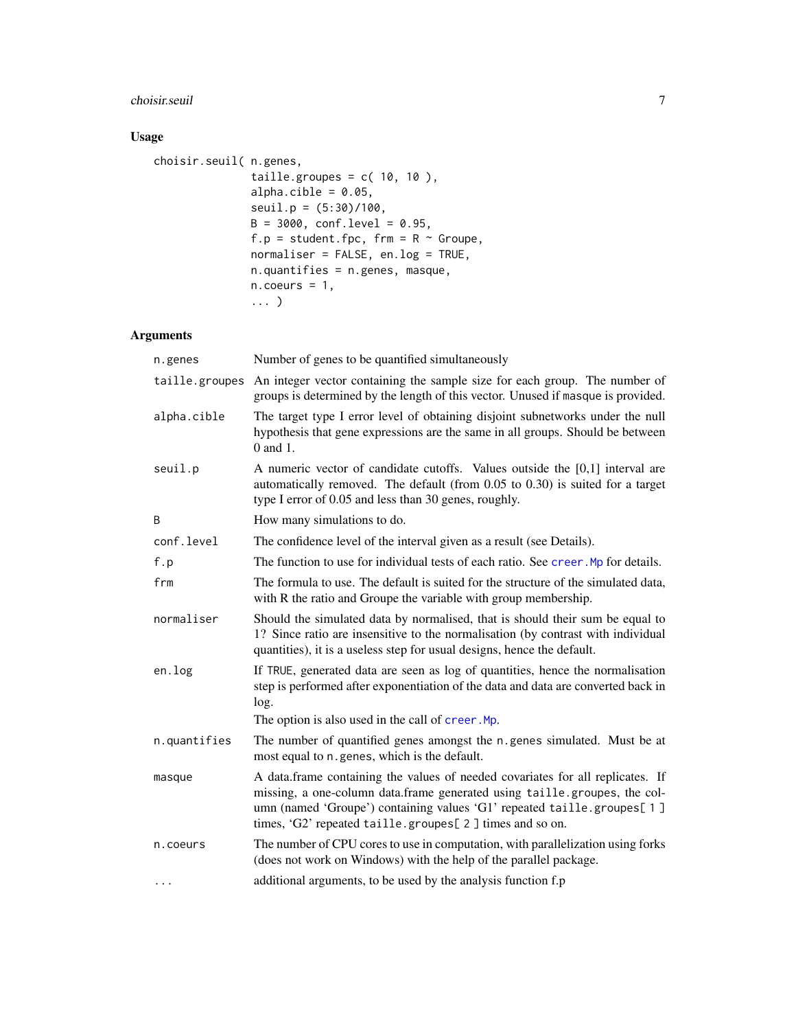# choisir.seuil 7

# Usage

```
choisir.seuil( n.genes,
               taille.groupes = c( 10, 10),
               alpha.cible = 0.05,
               seuil.p = (5:30)/100,
               B = 3000, conf.level = 0.95,
               f.p = student.fpc, frm = R \sim Groupe,
               normaliser = FALSE, en.log = TRUE,
               n.quantifies = n.genes, masque,
               n.coeurs = 1,... )
```

| n.genes        | Number of genes to be quantified simultaneously                                                                                                                                                                                                                                                  |
|----------------|--------------------------------------------------------------------------------------------------------------------------------------------------------------------------------------------------------------------------------------------------------------------------------------------------|
| taille.groupes | An integer vector containing the sample size for each group. The number of<br>groups is determined by the length of this vector. Unused if masque is provided.                                                                                                                                   |
| alpha.cible    | The target type I error level of obtaining disjoint subnetworks under the null<br>hypothesis that gene expressions are the same in all groups. Should be between<br>$0$ and $1$ .                                                                                                                |
| seuil.p        | A numeric vector of candidate cutoffs. Values outside the [0,1] interval are<br>automatically removed. The default (from 0.05 to 0.30) is suited for a target<br>type I error of 0.05 and less than 30 genes, roughly.                                                                           |
| B              | How many simulations to do.                                                                                                                                                                                                                                                                      |
| conf.level     | The confidence level of the interval given as a result (see Details).                                                                                                                                                                                                                            |
| f.p            | The function to use for individual tests of each ratio. See creer. Mp for details.                                                                                                                                                                                                               |
| frm            | The formula to use. The default is suited for the structure of the simulated data,<br>with R the ratio and Groupe the variable with group membership.                                                                                                                                            |
| normaliser     | Should the simulated data by normalised, that is should their sum be equal to<br>1? Since ratio are insensitive to the normalisation (by contrast with individual<br>quantities), it is a useless step for usual designs, hence the default.                                                     |
| en.log         | If TRUE, generated data are seen as log of quantities, hence the normalisation<br>step is performed after exponentiation of the data and data are converted back in<br>log.                                                                                                                      |
|                | The option is also used in the call of creer. Mp.                                                                                                                                                                                                                                                |
| n.quantifies   | The number of quantified genes amongst the n.genes simulated. Must be at<br>most equal to n. genes, which is the default.                                                                                                                                                                        |
| masque         | A data.frame containing the values of needed covariates for all replicates. If<br>missing, a one-column data.frame generated using taille.groupes, the col-<br>umn (named 'Groupe') containing values 'G1' repeated taille.groupes[1]<br>times, 'G2' repeated taille.groupes[2] times and so on. |
| n.coeurs       | The number of CPU cores to use in computation, with parallelization using forks<br>(does not work on Windows) with the help of the parallel package.                                                                                                                                             |
| $\cdots$       | additional arguments, to be used by the analysis function f.p                                                                                                                                                                                                                                    |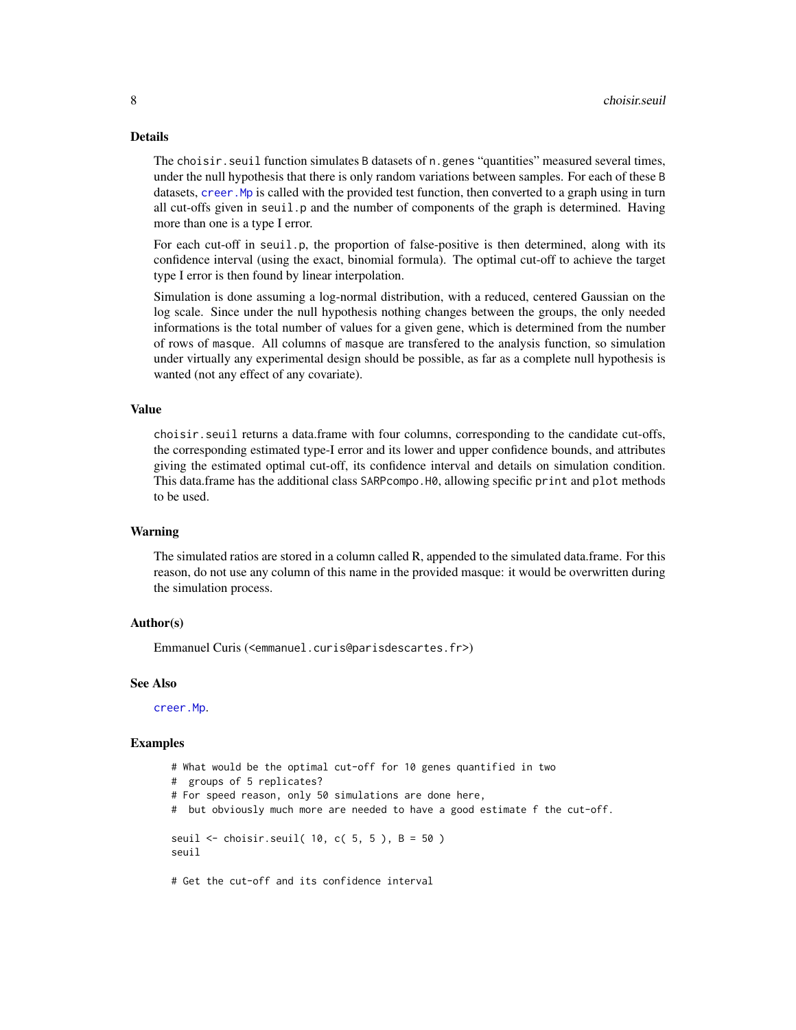#### <span id="page-7-0"></span>Details

The choisir.seuil function simulates B datasets of n.genes "quantities" measured several times, under the null hypothesis that there is only random variations between samples. For each of these B datasets, creer. Mp is called with the provided test function, then converted to a graph using in turn all cut-offs given in seuil.p and the number of components of the graph is determined. Having more than one is a type I error.

For each cut-off in seuil.p, the proportion of false-positive is then determined, along with its confidence interval (using the exact, binomial formula). The optimal cut-off to achieve the target type I error is then found by linear interpolation.

Simulation is done assuming a log-normal distribution, with a reduced, centered Gaussian on the log scale. Since under the null hypothesis nothing changes between the groups, the only needed informations is the total number of values for a given gene, which is determined from the number of rows of masque. All columns of masque are transfered to the analysis function, so simulation under virtually any experimental design should be possible, as far as a complete null hypothesis is wanted (not any effect of any covariate).

#### Value

choisir.seuil returns a data.frame with four columns, corresponding to the candidate cut-offs, the corresponding estimated type-I error and its lower and upper confidence bounds, and attributes giving the estimated optimal cut-off, its confidence interval and details on simulation condition. This data.frame has the additional class SARPcompo.H0, allowing specific print and plot methods to be used.

#### Warning

The simulated ratios are stored in a column called R, appended to the simulated data.frame. For this reason, do not use any column of this name in the provided masque: it would be overwritten during the simulation process.

#### Author(s)

Emmanuel Curis (<emmanuel.curis@parisdescartes.fr>)

#### See Also

[creer.Mp](#page-17-1).

#### Examples

# What would be the optimal cut-off for 10 genes quantified in two # groups of 5 replicates? # For speed reason, only 50 simulations are done here, # but obviously much more are needed to have a good estimate f the cut-off. seuil  $\le$  choisir.seuil( 10, c( 5, 5), B = 50) seuil

# Get the cut-off and its confidence interval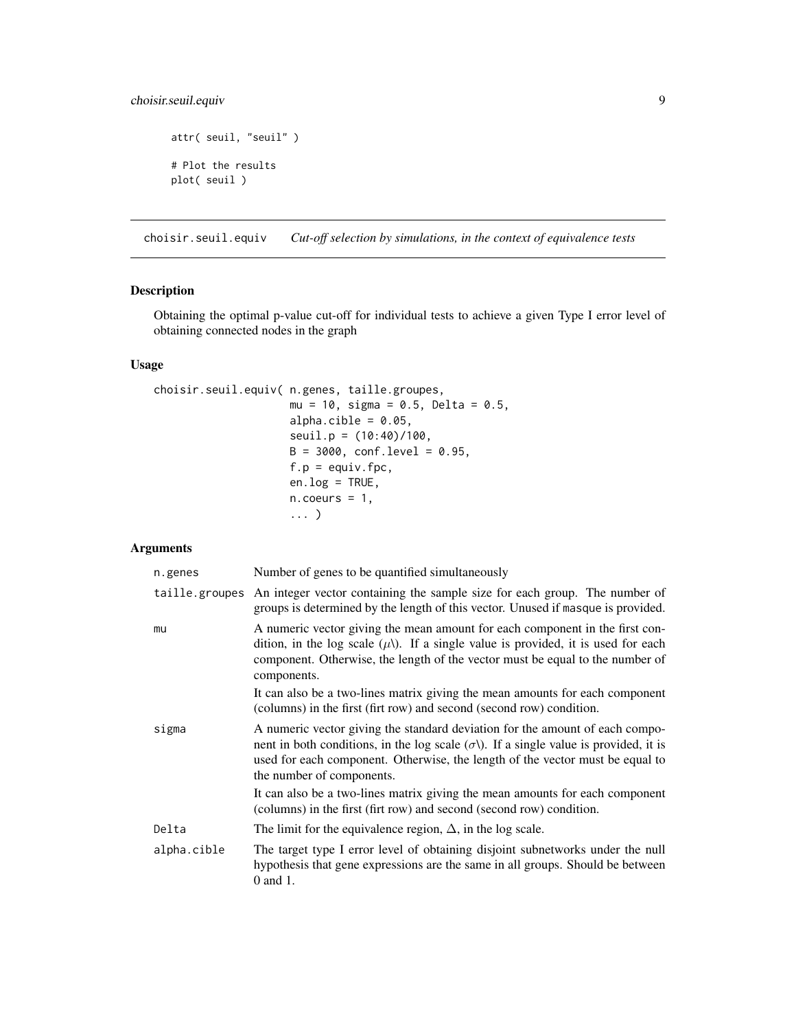# <span id="page-8-0"></span>choisir.seuil.equiv 9

```
attr( seuil, "seuil" )
# Plot the results
plot( seuil )
```
choisir.seuil.equiv *Cut-off selection by simulations, in the context of equivalence tests*

# Description

Obtaining the optimal p-value cut-off for individual tests to achieve a given Type I error level of obtaining connected nodes in the graph

# Usage

```
choisir.seuil.equiv( n.genes, taille.groupes,
                     mu = 10, sigma = 0.5, Delta = 0.5,
                     alpha.cible = 0.05,
                     seuil.p = (10:40)/100,
                     B = 3000, conf.level = 0.95,
                     f.p = equiv.fpc,en.log = TRUE,
                     n.coeurs = 1,... )
```

| n.genes     | Number of genes to be quantified simultaneously                                                                                                                                                                                                                                                   |
|-------------|---------------------------------------------------------------------------------------------------------------------------------------------------------------------------------------------------------------------------------------------------------------------------------------------------|
|             | taille groupes An integer vector containing the sample size for each group. The number of<br>groups is determined by the length of this vector. Unused if masque is provided.                                                                                                                     |
| mu          | A numeric vector giving the mean amount for each component in the first con-<br>dition, in the log scale $(\mu)$ . If a single value is provided, it is used for each<br>component. Otherwise, the length of the vector must be equal to the number of<br>components.                             |
|             | It can also be a two-lines matrix giving the mean amounts for each component<br>(columns) in the first (firt row) and second (second row) condition.                                                                                                                                              |
| sigma       | A numeric vector giving the standard deviation for the amount of each compo-<br>nent in both conditions, in the log scale $(\sigma \lambda)$ . If a single value is provided, it is<br>used for each component. Otherwise, the length of the vector must be equal to<br>the number of components. |
|             | It can also be a two-lines matrix giving the mean amounts for each component<br>(columns) in the first (firt row) and second (second row) condition.                                                                                                                                              |
| Delta       | The limit for the equivalence region, $\Delta$ , in the log scale.                                                                                                                                                                                                                                |
| alpha.cible | The target type I error level of obtaining disjoint subnetworks under the null<br>hypothesis that gene expressions are the same in all groups. Should be between<br>0 and 1.                                                                                                                      |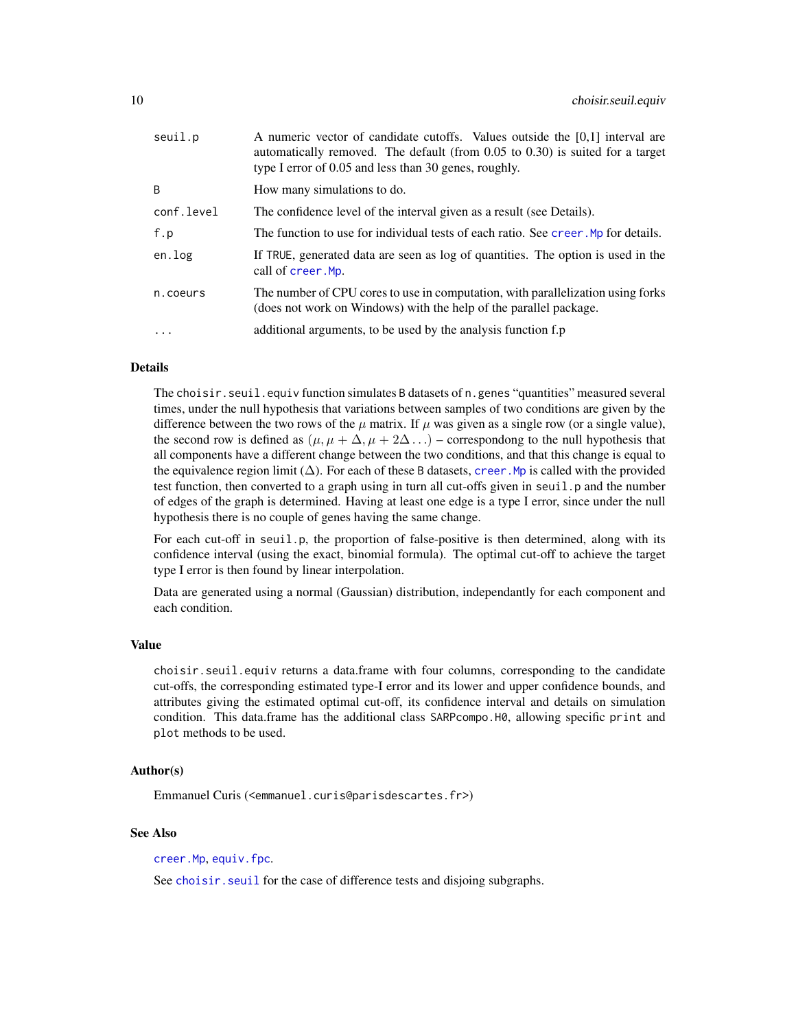<span id="page-9-0"></span>

| seuil.p    | A numeric vector of candidate cutoffs. Values outside the $[0,1]$ interval are<br>automatically removed. The default (from $0.05$ to $0.30$ ) is suited for a target<br>type I error of 0.05 and less than 30 genes, roughly. |
|------------|-------------------------------------------------------------------------------------------------------------------------------------------------------------------------------------------------------------------------------|
| B          | How many simulations to do.                                                                                                                                                                                                   |
| conf.level | The confidence level of the interval given as a result (see Details).                                                                                                                                                         |
| f.p        | The function to use for individual tests of each ratio. See creer. Mp for details.                                                                                                                                            |
| en.log     | If TRUE, generated data are seen as log of quantities. The option is used in the<br>call of creer. Mp.                                                                                                                        |
| n.coeurs   | The number of CPU cores to use in computation, with parallelization using forks<br>(does not work on Windows) with the help of the parallel package.                                                                          |
| $\ddots$   | additional arguments, to be used by the analysis function f.p                                                                                                                                                                 |
|            |                                                                                                                                                                                                                               |

#### Details

The choisir.seuil.equiv function simulates B datasets of n.genes "quantities" measured several times, under the null hypothesis that variations between samples of two conditions are given by the difference between the two rows of the  $\mu$  matrix. If  $\mu$  was given as a single row (or a single value), the second row is defined as  $(\mu, \mu + \Delta, \mu + 2\Delta ...)$  – correspondong to the null hypothesis that all components have a different change between the two conditions, and that this change is equal to the equivalence region limit ( $\Delta$ ). For each of these B datasets, creer. Mp is called with the provided test function, then converted to a graph using in turn all cut-offs given in seuil.p and the number of edges of the graph is determined. Having at least one edge is a type I error, since under the null hypothesis there is no couple of genes having the same change.

For each cut-off in seuil.p, the proportion of false-positive is then determined, along with its confidence interval (using the exact, binomial formula). The optimal cut-off to achieve the target type I error is then found by linear interpolation.

Data are generated using a normal (Gaussian) distribution, independantly for each component and each condition.

#### Value

choisir.seuil.equiv returns a data.frame with four columns, corresponding to the candidate cut-offs, the corresponding estimated type-I error and its lower and upper confidence bounds, and attributes giving the estimated optimal cut-off, its confidence interval and details on simulation condition. This data.frame has the additional class SARPcompo.H0, allowing specific print and plot methods to be used.

### Author(s)

Emmanuel Curis (<emmanuel.curis@parisdescartes.fr>)

#### See Also

[creer.Mp](#page-17-1), [equiv.fpc](#page-21-1).

See choisir. seuil for the case of difference tests and disjoing subgraphs.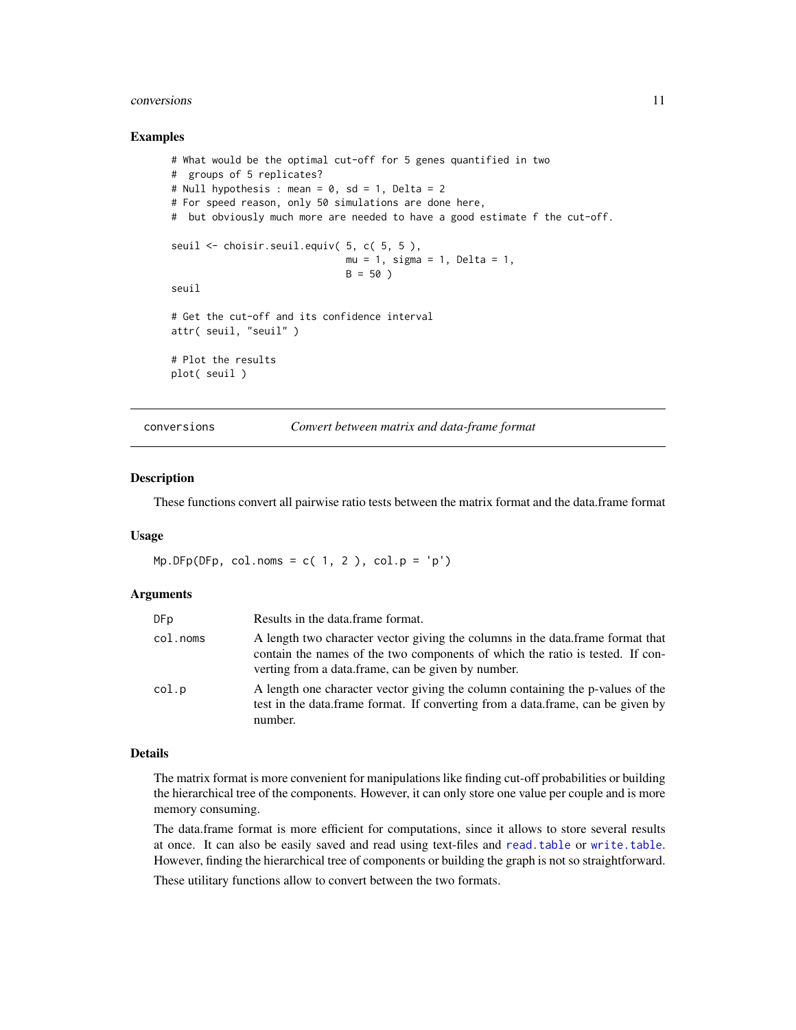#### <span id="page-10-0"></span>conversions and the conversions of the conversions of the conversions of the conversions of the conversions of the conversions of the conversions of the conversions of the conversion of the conversion of the conversion of

#### Examples

```
# What would be the optimal cut-off for 5 genes quantified in two
# groups of 5 replicates?
# Null hypothesis : mean = 0, sd = 1, Delta = 2
# For speed reason, only 50 simulations are done here,
# but obviously much more are needed to have a good estimate f the cut-off.
seuil <- choisir.seuil.equiv( 5, c( 5, 5 ),
                              mu = 1, sigma = 1, Delta = 1,
                              B = 50)
seuil
# Get the cut-off and its confidence interval
attr( seuil, "seuil" )
# Plot the results
plot( seuil )
```
conversions *Convert between matrix and data-frame format*

#### Description

These functions convert all pairwise ratio tests between the matrix format and the data.frame format

# Usage

 $Mp.DFp(DFp, col.noms = c(1, 2), col.p = 'p')$ 

# Arguments

| DF p     | Results in the data frame format.                                                                                                                                                                                     |
|----------|-----------------------------------------------------------------------------------------------------------------------------------------------------------------------------------------------------------------------|
| col.noms | A length two character vector giving the columns in the data.frame format that<br>contain the names of the two components of which the ratio is tested. If con-<br>verting from a data.frame, can be given by number. |
| col.p    | A length one character vector giving the column containing the p-values of the<br>test in the data.frame format. If converting from a data.frame, can be given by<br>number.                                          |

#### Details

The matrix format is more convenient for manipulations like finding cut-off probabilities or building the hierarchical tree of the components. However, it can only store one value per couple and is more memory consuming.

The data.frame format is more efficient for computations, since it allows to store several results at once. It can also be easily saved and read using text-files and [read.table](#page-0-0) or [write.table](#page-0-0). However, finding the hierarchical tree of components or building the graph is not so straightforward.

These utilitary functions allow to convert between the two formats.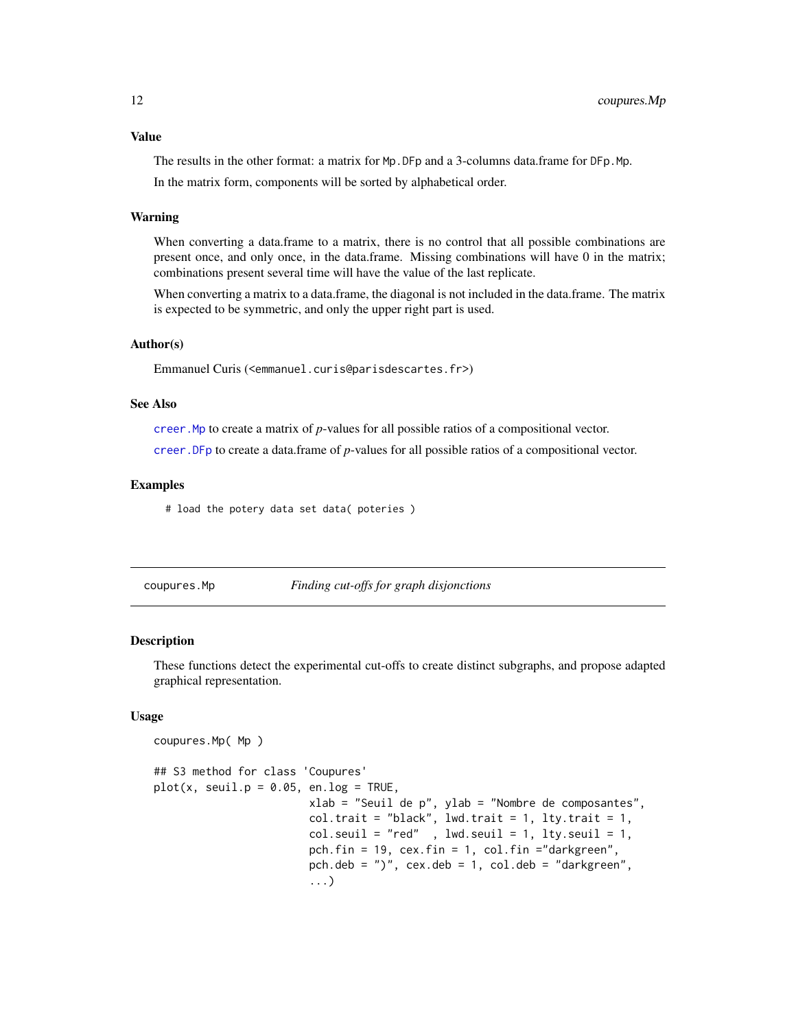<span id="page-11-0"></span>The results in the other format: a matrix for Mp.DFp and a 3-columns data.frame for DFp.Mp. In the matrix form, components will be sorted by alphabetical order.

#### Warning

When converting a data.frame to a matrix, there is no control that all possible combinations are present once, and only once, in the data.frame. Missing combinations will have 0 in the matrix; combinations present several time will have the value of the last replicate.

When converting a matrix to a data.frame, the diagonal is not included in the data.frame. The matrix is expected to be symmetric, and only the upper right part is used.

#### Author(s)

Emmanuel Curis (<emmanuel.curis@parisdescartes.fr>)

#### See Also

[creer.Mp](#page-17-1) to create a matrix of *p*-values for all possible ratios of a compositional vector.

[creer.DFp](#page-13-1) to create a data.frame of *p*-values for all possible ratios of a compositional vector.

#### Examples

# load the potery data set data( poteries )

coupures.Mp( Mp )

<span id="page-11-1"></span>coupures.Mp *Finding cut-offs for graph disjonctions*

#### Description

These functions detect the experimental cut-offs to create distinct subgraphs, and propose adapted graphical representation.

#### Usage

```
## S3 method for class 'Coupures'
plot(x, seul.p = 0.05, en.log = TRUE,xlab = "Seuil de p", ylab = "Nombre de composantes",
                       col.trait = "black", lwd.trait = 1, lty.trait = 1,
                       col.setuit = "red", lwd.setuit = 1, lty.setuit = 1,pch.fin = 19, cex.fin = 1, col.fin = "darkgreen",pch.deb = ")", cex.deb = 1, col.deb = "darkgreen",
                        ...)
```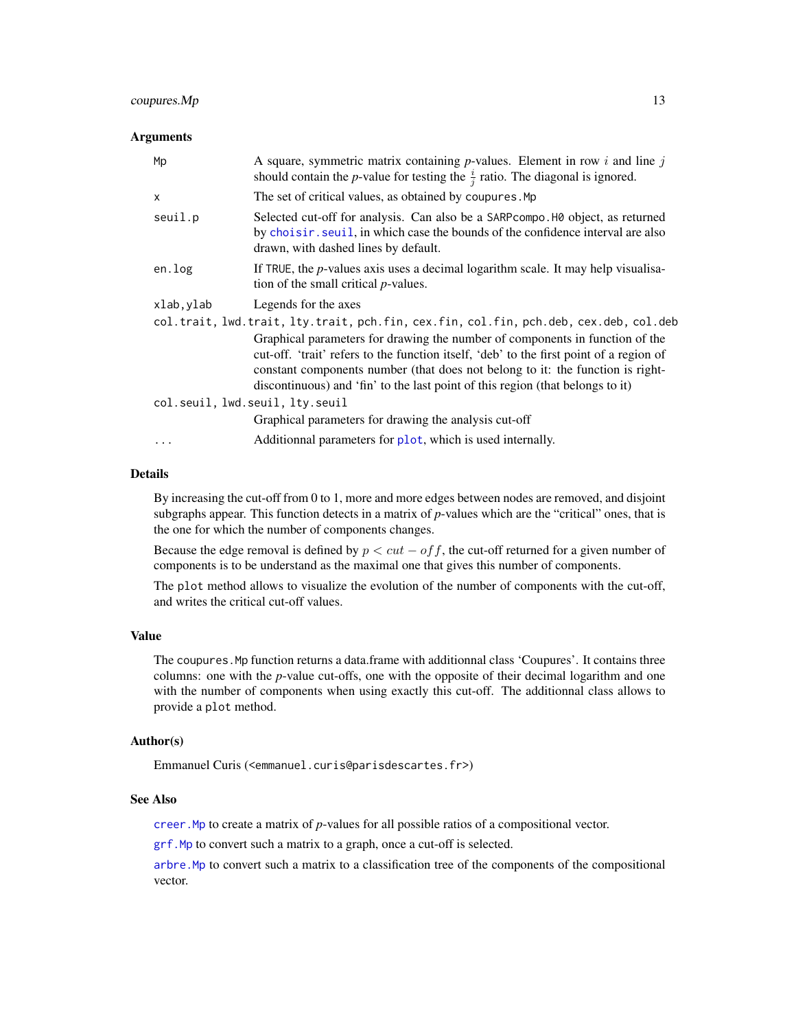# <span id="page-12-0"></span> $c\text{oupures}.Mp$  13

#### **Arguments**

| Mp         | A square, symmetric matrix containing $p$ -values. Element in row i and line j<br>should contain the <i>p</i> -value for testing the $\frac{i}{i}$ ratio. The diagonal is ignored.                                                                                                                                                          |  |  |  |  |  |
|------------|---------------------------------------------------------------------------------------------------------------------------------------------------------------------------------------------------------------------------------------------------------------------------------------------------------------------------------------------|--|--|--|--|--|
| $\times$   | The set of critical values, as obtained by coupures. Mp                                                                                                                                                                                                                                                                                     |  |  |  |  |  |
| seuil.p    | Selected cut-off for analysis. Can also be a SARP compo. HO object, as returned<br>by choisir. seuil, in which case the bounds of the confidence interval are also<br>drawn, with dashed lines by default.                                                                                                                                  |  |  |  |  |  |
| en.log     | If TRUE, the $p$ -values axis uses a decimal logarithm scale. It may help visualisa-<br>tion of the small critical <i>p</i> -values.                                                                                                                                                                                                        |  |  |  |  |  |
| xlab, ylab | Legends for the axes                                                                                                                                                                                                                                                                                                                        |  |  |  |  |  |
|            | col.trait, lwd.trait, lty.trait, pch.fin, cex.fin, col.fin, pch.deb, cex.deb, col.deb                                                                                                                                                                                                                                                       |  |  |  |  |  |
|            | Graphical parameters for drawing the number of components in function of the<br>cut-off. 'trait' refers to the function itself, 'deb' to the first point of a region of<br>constant components number (that does not belong to it: the function is right-<br>discontinuous) and 'fin' to the last point of this region (that belongs to it) |  |  |  |  |  |
|            | col.seuil, lwd.seuil, lty.seuil                                                                                                                                                                                                                                                                                                             |  |  |  |  |  |
|            | Graphical parameters for drawing the analysis cut-off                                                                                                                                                                                                                                                                                       |  |  |  |  |  |
| $\ddotsc$  | Additionnal parameters for plot, which is used internally.                                                                                                                                                                                                                                                                                  |  |  |  |  |  |

#### Details

By increasing the cut-off from 0 to 1, more and more edges between nodes are removed, and disjoint subgraphs appear. This function detects in a matrix of *p*-values which are the "critical" ones, that is the one for which the number of components changes.

Because the edge removal is defined by  $p < cut - of f$ , the cut-off returned for a given number of components is to be understand as the maximal one that gives this number of components.

The plot method allows to visualize the evolution of the number of components with the cut-off, and writes the critical cut-off values.

# Value

The coupures. Mp function returns a data.frame with additionnal class 'Coupures'. It contains three columns: one with the *p*-value cut-offs, one with the opposite of their decimal logarithm and one with the number of components when using exactly this cut-off. The additionnal class allows to provide a plot method.

#### Author(s)

Emmanuel Curis (<emmanuel.curis@parisdescartes.fr>)

#### See Also

[creer.Mp](#page-17-1) to create a matrix of *p*-values for all possible ratios of a compositional vector.

[grf.Mp](#page-15-1) to convert such a matrix to a graph, once a cut-off is selected.

[arbre.Mp](#page-1-1) to convert such a matrix to a classification tree of the components of the compositional vector.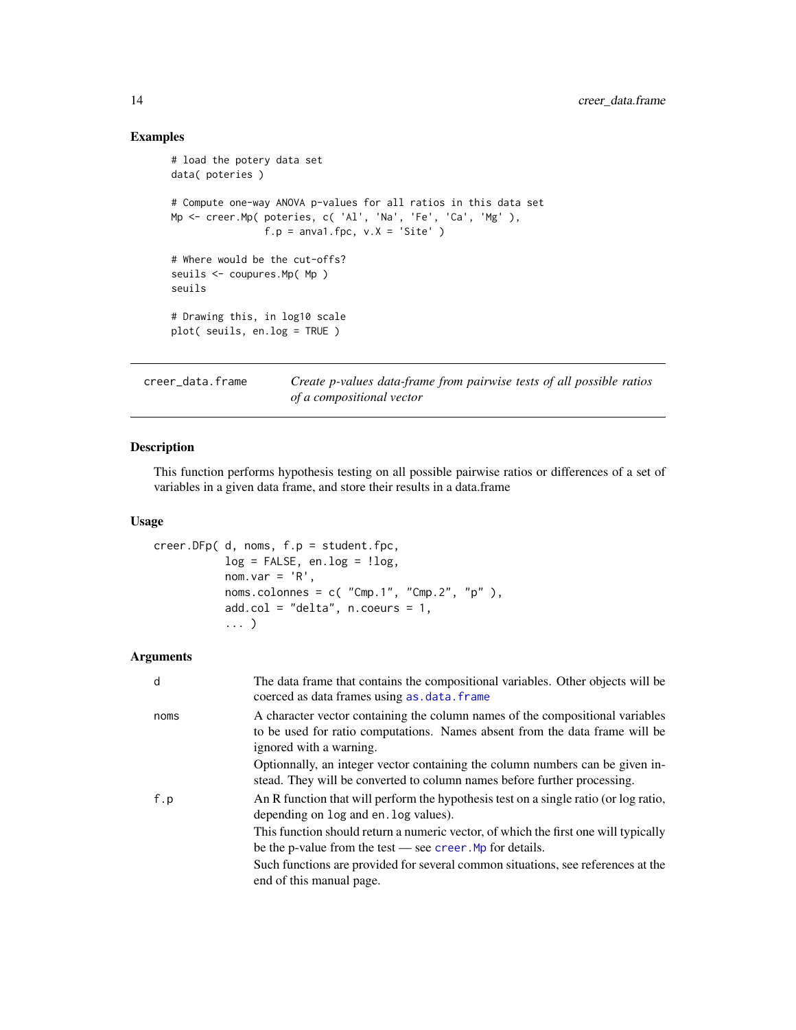# Examples

```
# load the potery data set
data( poteries )
# Compute one-way ANOVA p-values for all ratios in this data set
Mp <- creer.Mp( poteries, c( 'Al', 'Na', 'Fe', 'Ca', 'Mg' ),
                f.p = anval.fpc, v.X = 'Site')
# Where would be the cut-offs?
seuils <- coupures.Mp( Mp )
seuils
# Drawing this, in log10 scale
plot( seuils, en.log = TRUE )
```
creer\_data.frame *Create p-values data-frame from pairwise tests of all possible ratios of a compositional vector*

# <span id="page-13-1"></span>Description

This function performs hypothesis testing on all possible pairwise ratios or differences of a set of variables in a given data frame, and store their results in a data.frame

# Usage

```
creer.DFp( d, noms, f.p = student.fpc,
           log = FALSE, en.log = !log,
           nom.var = 'R',
           noms.colonnes = c( "Cmp.1", "Cmp.2", "p" ),
           add.col = "delta", n.coeurs = 1,
           ... )
```

| d    | The data frame that contains the compositional variables. Other objects will be<br>coerced as data frames using as . data. frame                                                        |
|------|-----------------------------------------------------------------------------------------------------------------------------------------------------------------------------------------|
| noms | A character vector containing the column names of the compositional variables<br>to be used for ratio computations. Names absent from the data frame will be<br>ignored with a warning. |
|      | Optionnally, an integer vector containing the column numbers can be given in-<br>stead. They will be converted to column names before further processing.                               |
| f.p  | An R function that will perform the hypothesis test on a single ratio (or log ratio,<br>depending on log and en. log values).                                                           |
|      | This function should return a numeric vector, of which the first one will typically<br>be the p-value from the test $\frac{1}{2}$ see creer. Mp for details.                            |
|      | Such functions are provided for several common situations, see references at the<br>end of this manual page.                                                                            |

<span id="page-13-0"></span>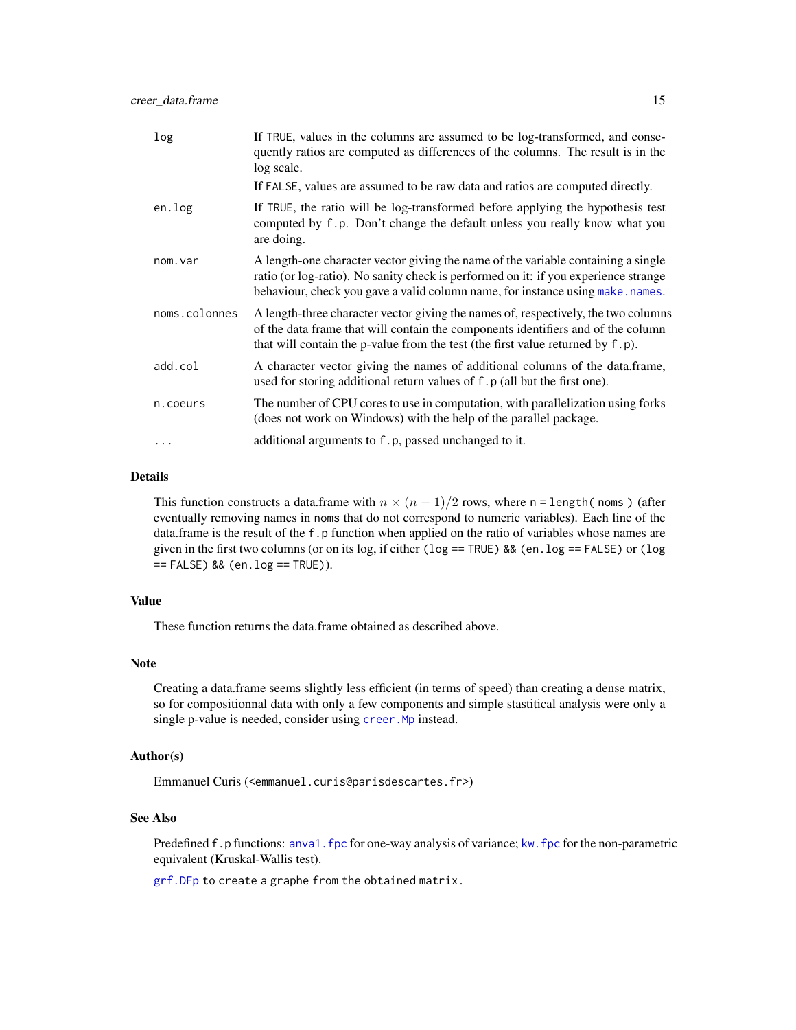<span id="page-14-0"></span>

| log           | If TRUE, values in the columns are assumed to be log-transformed, and conse-<br>quently ratios are computed as differences of the columns. The result is in the<br>log scale.                                                                                |
|---------------|--------------------------------------------------------------------------------------------------------------------------------------------------------------------------------------------------------------------------------------------------------------|
|               | If FALSE, values are assumed to be raw data and ratios are computed directly.                                                                                                                                                                                |
| en.log        | If TRUE, the ratio will be log-transformed before applying the hypothesis test<br>computed by f.p. Don't change the default unless you really know what you<br>are doing.                                                                                    |
| nom.var       | A length-one character vector giving the name of the variable containing a single<br>ratio (or log-ratio). No sanity check is performed on it: if you experience strange<br>behaviour, check you gave a valid column name, for instance using make . names.  |
| noms.colonnes | A length-three character vector giving the names of, respectively, the two columns<br>of the data frame that will contain the components identifiers and of the column<br>that will contain the p-value from the test (the first value returned by $f(p)$ ). |
| add.col       | A character vector giving the names of additional columns of the data.frame,<br>used for storing additional return values of f. p (all but the first one).                                                                                                   |
| n.coeurs      | The number of CPU cores to use in computation, with parallelization using forks<br>(does not work on Windows) with the help of the parallel package.                                                                                                         |
| $\ddots$ .    | additional arguments to f.p, passed unchanged to it.                                                                                                                                                                                                         |

#### Details

This function constructs a data.frame with  $n \times (n-1)/2$  rows, where n = length(noms) (after eventually removing names in noms that do not correspond to numeric variables). Each line of the data.frame is the result of the f.p function when applied on the ratio of variables whose names are given in the first two columns (or on its log, if either ( $\log$  == TRUE) && (en.log == FALSE) or ( $\log$ == FALSE) && (en.log == TRUE)).

# Value

These function returns the data.frame obtained as described above.

#### Note

Creating a data.frame seems slightly less efficient (in terms of speed) than creating a dense matrix, so for compositionnal data with only a few components and simple stastitical analysis were only a single p-value is needed, consider using creer. Mp instead.

#### Author(s)

Emmanuel Curis (<emmanuel.curis@parisdescartes.fr>)

#### See Also

Predefined f.p functions: [anva1.fpc](#page-36-1) for one-way analysis of variance; [kw.fpc](#page-36-1) for the non-parametric equivalent (Kruskal-Wallis test).

[grf.DFp](#page-15-1) to create a graphe from the obtained matrix.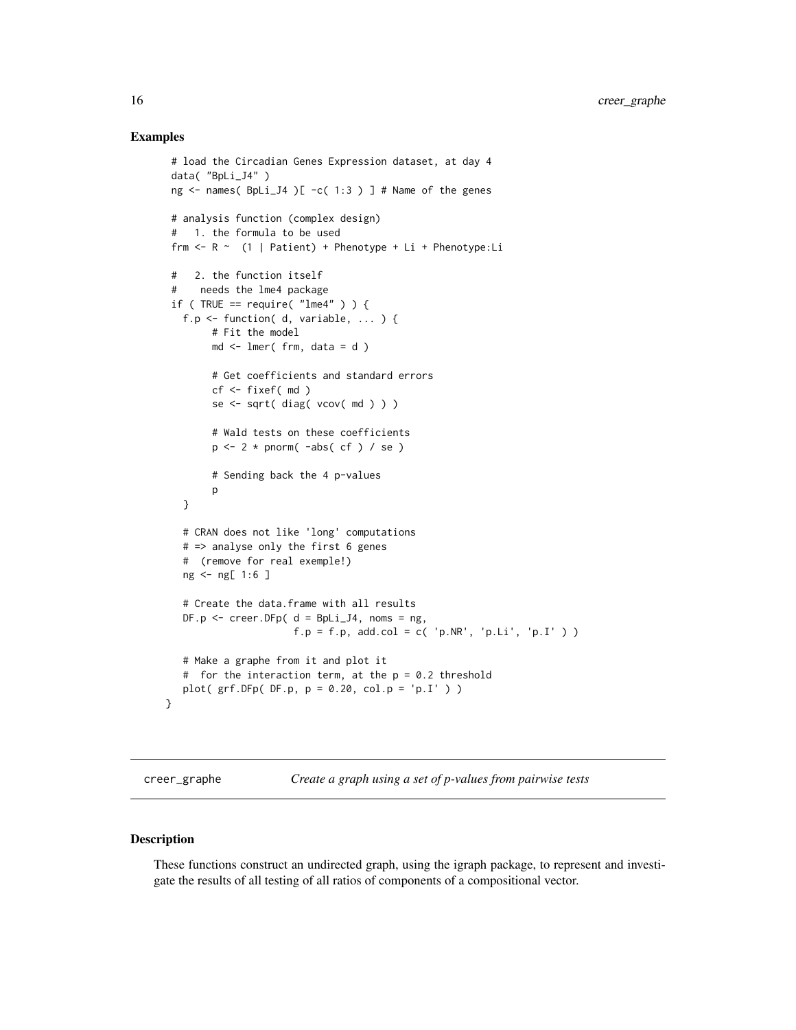# <span id="page-15-0"></span>Examples

```
# load the Circadian Genes Expression dataset, at day 4
 data( "BpLi_J4" )
 ng \le names( BpLi_J4 )[ -c( 1:3 ) ] # Name of the genes
 # analysis function (complex design)
 # 1. the formula to be used
 frm \leq R \leq (1 | Patient) + Phenotype + Li + Phenotype:Li
 # 2. the function itself
 # needs the lme4 package
 if ( TRUE == require( "lme4" ) ) {
   f.p \le function( d, variable, ... ) {
        # Fit the model
        md \leq lmer( frm, data = d )
        # Get coefficients and standard errors
        cf <- fixef( md )
        se <- sqrt( diag( vcov( md ) ) )
        # Wald tests on these coefficients
        p \leftarrow 2 * pnorm( -abs( cf ) / se )# Sending back the 4 p-values
        p
   }
   # CRAN does not like 'long' computations
   # => analyse only the first 6 genes
   # (remove for real exemple!)
   ng <- ng[ 1:6 ]
   # Create the data.frame with all results
   DF.p \le - creer. DF(p \le d = Bpli_J4, \text{ noms} = ng,f.p = f.p, add,col = c('p.NR', 'p.Li', 'p.I') )# Make a graphe from it and plot it
   # for the interaction term, at the p = 0.2 threshold
   plot( grf.DFp( DF.p, p = 0.20, col.p = 'p.I' ) )}
```
creer\_graphe *Create a graph using a set of p-values from pairwise tests*

#### <span id="page-15-1"></span>Description

These functions construct an undirected graph, using the igraph package, to represent and investigate the results of all testing of all ratios of components of a compositional vector.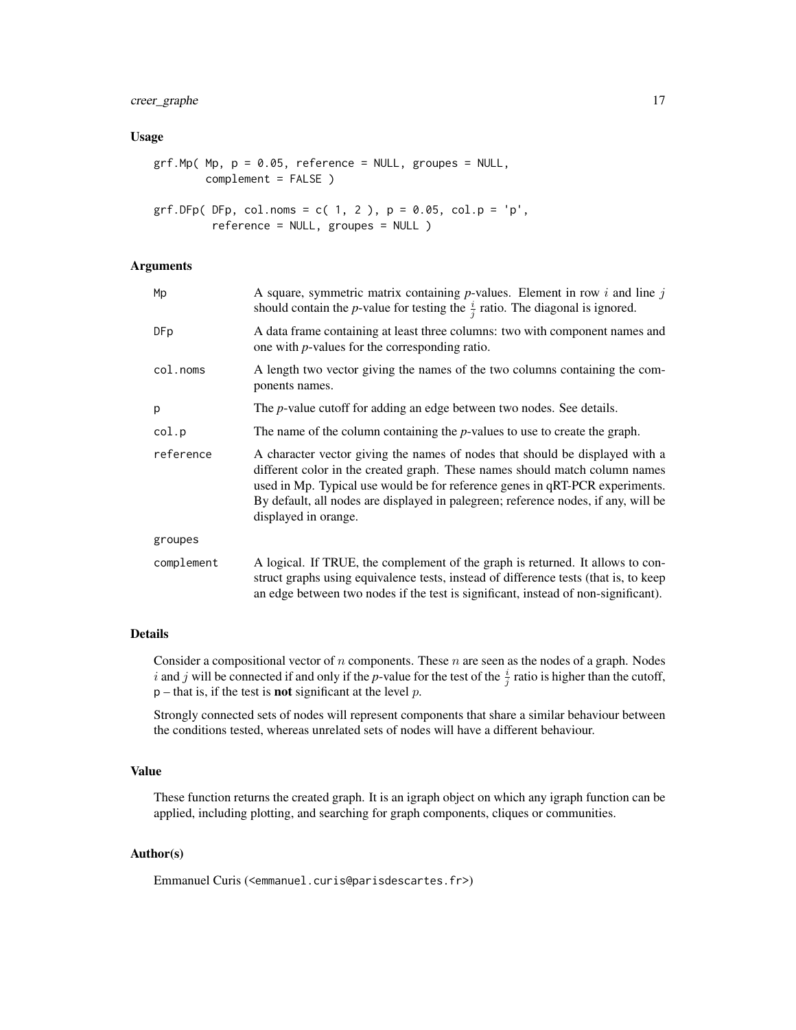# creer\_graphe 17

#### Usage

```
grf.Mp( Mp, p = 0.05, reference = NULL, groups = NULL,complement = FALSE )
grf.DFp( DFp, col.noms = c( 1, 2 ), p = 0.05, col.p = 'p',
```

```
reference = NULL, groupes = NULL )
```
# Arguments

| Мp         | A square, symmetric matrix containing $p$ -values. Element in row $i$ and line $j$<br>should contain the <i>p</i> -value for testing the $\frac{i}{i}$ ratio. The diagonal is ignored.                                                                                                                                                                    |  |
|------------|-----------------------------------------------------------------------------------------------------------------------------------------------------------------------------------------------------------------------------------------------------------------------------------------------------------------------------------------------------------|--|
| DFp        | A data frame containing at least three columns: two with component names and<br>one with <i>p</i> -values for the corresponding ratio.                                                                                                                                                                                                                    |  |
| col.noms   | A length two vector giving the names of the two columns containing the com-<br>ponents names.                                                                                                                                                                                                                                                             |  |
| р          | The <i>p</i> -value cutoff for adding an edge between two nodes. See details.                                                                                                                                                                                                                                                                             |  |
| col.p      | The name of the column containing the $p$ -values to use to create the graph.                                                                                                                                                                                                                                                                             |  |
| reference  | A character vector giving the names of nodes that should be displayed with a<br>different color in the created graph. These names should match column names<br>used in Mp. Typical use would be for reference genes in qRT-PCR experiments.<br>By default, all nodes are displayed in palegreen; reference nodes, if any, will be<br>displayed in orange. |  |
| groupes    |                                                                                                                                                                                                                                                                                                                                                           |  |
| complement | A logical. If TRUE, the complement of the graph is returned. It allows to con-<br>struct graphs using equivalence tests, instead of difference tests (that is, to keep<br>an edge between two nodes if the test is significant, instead of non-significant).                                                                                              |  |

#### Details

Consider a compositional vector of n components. These n are seen as the nodes of a graph. Nodes i and j will be connected if and only if the *p*-value for the test of the  $\frac{i}{j}$  ratio is higher than the cutoff,  $p$  – that is, if the test is **not** significant at the level  $p$ .

Strongly connected sets of nodes will represent components that share a similar behaviour between the conditions tested, whereas unrelated sets of nodes will have a different behaviour.

# Value

These function returns the created graph. It is an igraph object on which any igraph function can be applied, including plotting, and searching for graph components, cliques or communities.

# Author(s)

Emmanuel Curis (<emmanuel.curis@parisdescartes.fr>)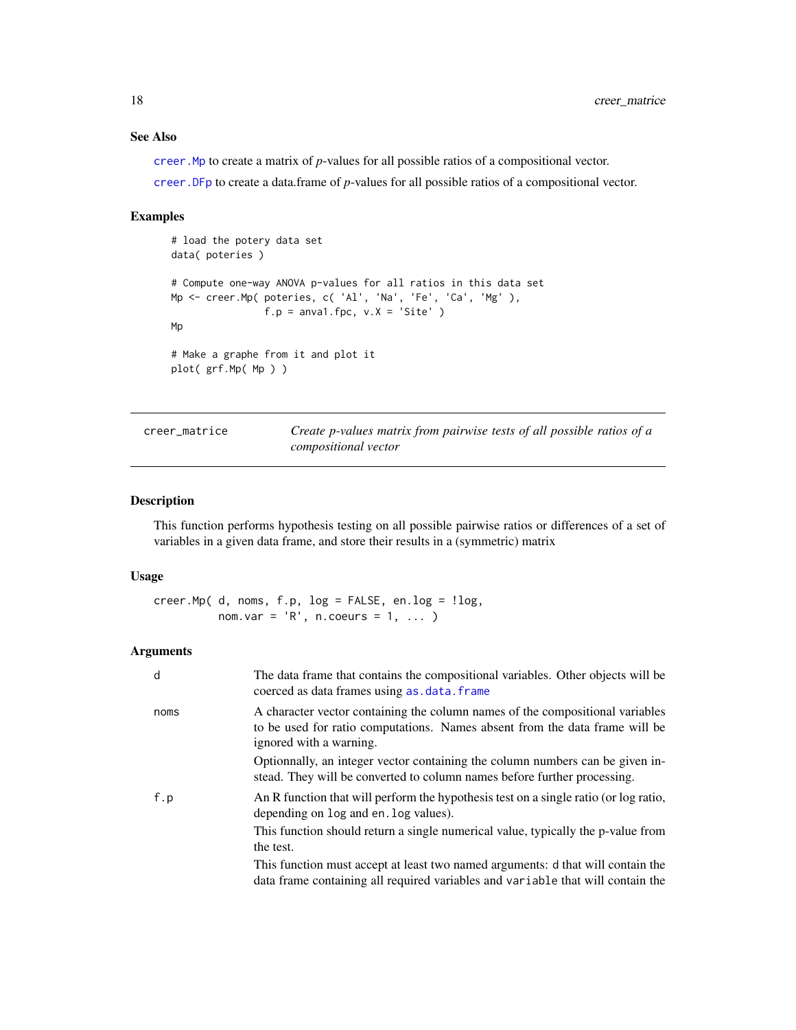# <span id="page-17-0"></span>See Also

[creer.Mp](#page-17-1) to create a matrix of *p*-values for all possible ratios of a compositional vector.

[creer.DFp](#page-13-1) to create a data.frame of *p*-values for all possible ratios of a compositional vector.

#### Examples

```
# load the potery data set
data( poteries )
# Compute one-way ANOVA p-values for all ratios in this data set
Mp <- creer.Mp( poteries, c( 'Al', 'Na', 'Fe', 'Ca', 'Mg' ),
                f.p = anval.fpc, v.X = 'Site')
Mp
# Make a graphe from it and plot it
plot( grf.Mp( Mp ) )
```
creer\_matrice *Create p-values matrix from pairwise tests of all possible ratios of a compositional vector*

# <span id="page-17-1"></span>Description

This function performs hypothesis testing on all possible pairwise ratios or differences of a set of variables in a given data frame, and store their results in a (symmetric) matrix

#### Usage

 $creer.Mp( d, noms, f.p, log = FALSE, en.log = !log,$ nom.var =  $'R'$ , n.coeurs = 1, ... )

| d    | The data frame that contains the compositional variables. Other objects will be<br>coerced as data frames using as . data. frame                                                        |
|------|-----------------------------------------------------------------------------------------------------------------------------------------------------------------------------------------|
| noms | A character vector containing the column names of the compositional variables<br>to be used for ratio computations. Names absent from the data frame will be<br>ignored with a warning. |
|      | Optionnally, an integer vector containing the column numbers can be given in-<br>stead. They will be converted to column names before further processing.                               |
| f.p  | An R function that will perform the hypothesis test on a single ratio (or log ratio,<br>depending on log and en. log values).                                                           |
|      | This function should return a single numerical value, typically the p-value from<br>the test.                                                                                           |
|      | This function must accept at least two named arguments: d that will contain the<br>data frame containing all required variables and variable that will contain the                      |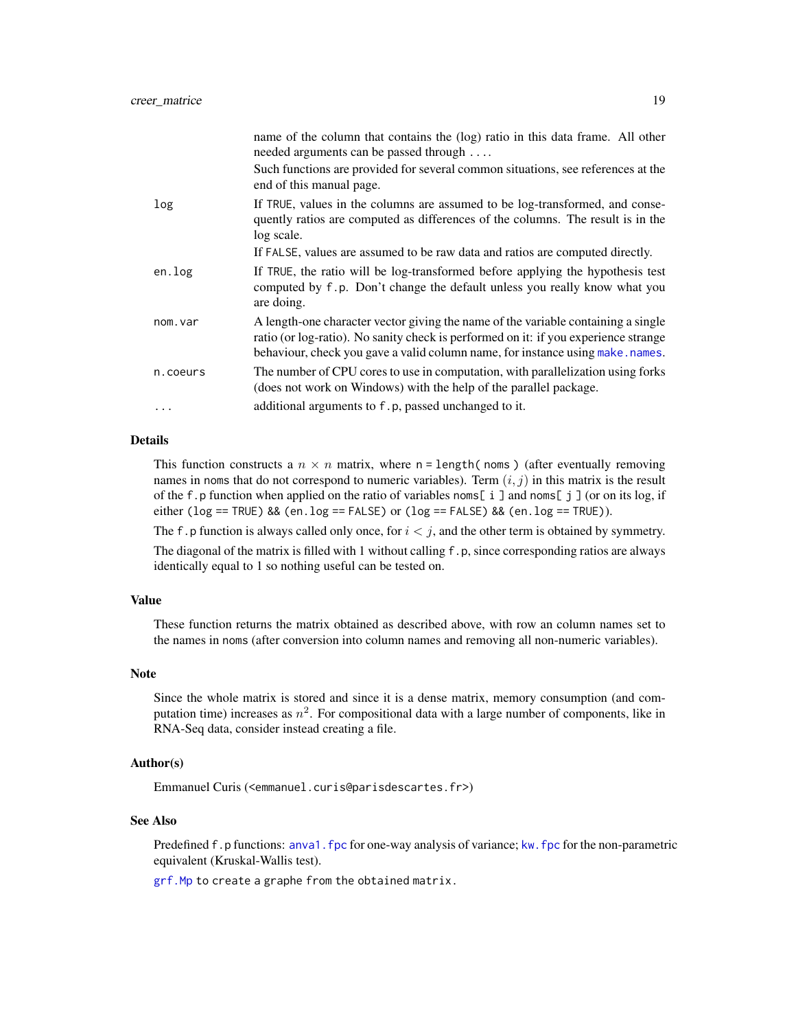<span id="page-18-0"></span>

|          | name of the column that contains the (log) ratio in this data frame. All other<br>needed arguments can be passed through                                                                                                                                    |
|----------|-------------------------------------------------------------------------------------------------------------------------------------------------------------------------------------------------------------------------------------------------------------|
|          | Such functions are provided for several common situations, see references at the<br>end of this manual page.                                                                                                                                                |
| log      | If TRUE, values in the columns are assumed to be log-transformed, and conse-<br>quently ratios are computed as differences of the columns. The result is in the<br>log scale.                                                                               |
|          | If FALSE, values are assumed to be raw data and ratios are computed directly.                                                                                                                                                                               |
| en.log   | If TRUE, the ratio will be log-transformed before applying the hypothesis test<br>computed by f.p. Don't change the default unless you really know what you<br>are doing.                                                                                   |
| nom.var  | A length-one character vector giving the name of the variable containing a single<br>ratio (or log-ratio). No sanity check is performed on it: if you experience strange<br>behaviour, check you gave a valid column name, for instance using make . names. |
| n.coeurs | The number of CPU cores to use in computation, with parallelization using forks<br>(does not work on Windows) with the help of the parallel package.                                                                                                        |
| $\cdots$ | additional arguments to f.p, passed unchanged to it.                                                                                                                                                                                                        |

#### Details

This function constructs a  $n \times n$  matrix, where  $n =$  length(noms) (after eventually removing names in noms that do not correspond to numeric variables). Term  $(i, j)$  in this matrix is the result of the f.p function when applied on the ratio of variables noms[ i ] and noms[ j ] (or on its log, if either ( $log == TRUE$ ) && (en.log == FALSE) or ( $log == FALSE$ ) && (en.log == TRUE)).

The f. p function is always called only once, for  $i < j$ , and the other term is obtained by symmetry. The diagonal of the matrix is filled with 1 without calling f.p, since corresponding ratios are always identically equal to 1 so nothing useful can be tested on.

#### Value

These function returns the matrix obtained as described above, with row an column names set to the names in noms (after conversion into column names and removing all non-numeric variables).

# Note

Since the whole matrix is stored and since it is a dense matrix, memory consumption (and computation time) increases as  $n^2$ . For compositional data with a large number of components, like in RNA-Seq data, consider instead creating a file.

#### Author(s)

Emmanuel Curis (<emmanuel.curis@parisdescartes.fr>)

#### See Also

Predefined f.p functions: [anva1.fpc](#page-36-1) for one-way analysis of variance; [kw.fpc](#page-36-1) for the non-parametric equivalent (Kruskal-Wallis test).

[grf.Mp](#page-15-1) to create a graphe from the obtained matrix.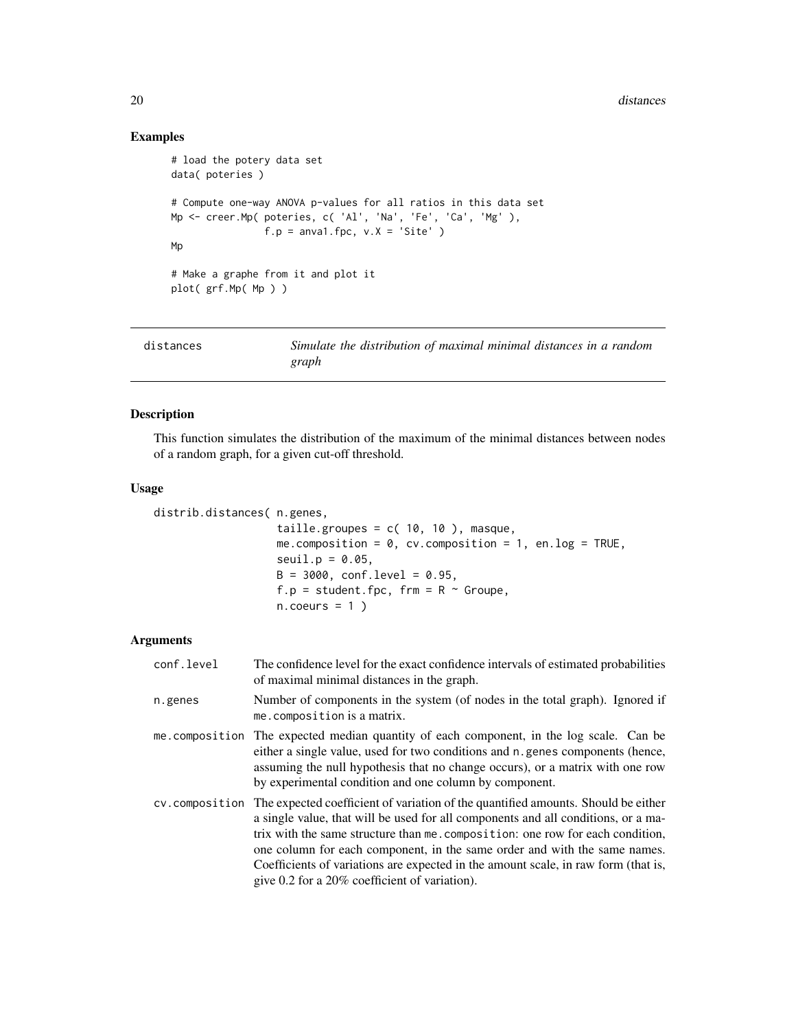# Examples

```
# load the potery data set
data( poteries )
# Compute one-way ANOVA p-values for all ratios in this data set
Mp <- creer.Mp( poteries, c( 'Al', 'Na', 'Fe', 'Ca', 'Mg' ),
               f.p = anval.fpc, v.X = 'Site')
Mp
# Make a graphe from it and plot it
plot( grf.Mp( Mp ) )
```

| distances | Simulate the distribution of maximal minimal distances in a random |
|-----------|--------------------------------------------------------------------|
|           | graph                                                              |

# Description

This function simulates the distribution of the maximum of the minimal distances between nodes of a random graph, for a given cut-off threshold.

#### Usage

```
distrib.distances( n.genes,
                   taille.groupes = c( 10, 10), masque,
                   me.composition = 0, cv.composition = 1, en.log = TRUE,
                   seuil.p = 0.05,B = 3000, conf.level = 0.95,
                   f.p = student.fpc, frm = R \sim Groupe,
                   n.coeurs = 1)
```

| conf.level | The confidence level for the exact confidence intervals of estimated probabilities<br>of maximal minimal distances in the graph.                                                                                                                                                                                                                                                                                                                                                             |
|------------|----------------------------------------------------------------------------------------------------------------------------------------------------------------------------------------------------------------------------------------------------------------------------------------------------------------------------------------------------------------------------------------------------------------------------------------------------------------------------------------------|
| n.genes    | Number of components in the system (of nodes in the total graph). Ignored if<br>me.composition is a matrix.                                                                                                                                                                                                                                                                                                                                                                                  |
|            | me composition The expected median quantity of each component, in the log scale. Can be<br>either a single value, used for two conditions and n genes components (hence,<br>assuming the null hypothesis that no change occurs), or a matrix with one row<br>by experimental condition and one column by component.                                                                                                                                                                          |
|            | cv. composition The expected coefficient of variation of the quantified amounts. Should be either<br>a single value, that will be used for all components and all conditions, or a ma-<br>trix with the same structure than me. composition: one row for each condition,<br>one column for each component, in the same order and with the same names.<br>Coefficients of variations are expected in the amount scale, in raw form (that is,<br>give 0.2 for a 20% coefficient of variation). |

<span id="page-19-0"></span>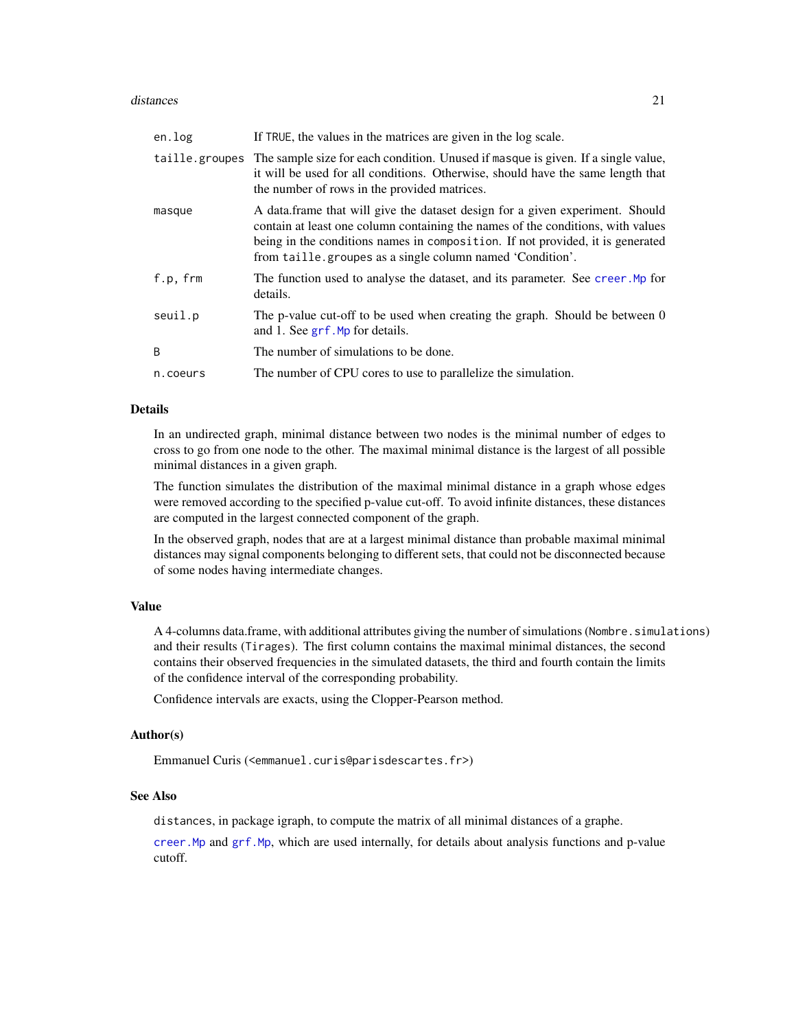#### <span id="page-20-0"></span>distances 21

| en.log   | If TRUE, the values in the matrices are given in the log scale.                                                                                                                                                                                                                                                 |
|----------|-----------------------------------------------------------------------------------------------------------------------------------------------------------------------------------------------------------------------------------------------------------------------------------------------------------------|
|          | taille.groupes The sample size for each condition. Unused if masque is given. If a single value,<br>it will be used for all conditions. Otherwise, should have the same length that<br>the number of rows in the provided matrices.                                                                             |
| masque   | A data frame that will give the dataset design for a given experiment. Should<br>contain at least one column containing the names of the conditions, with values<br>being in the conditions names in composition. If not provided, it is generated<br>from taille.groupes as a single column named 'Condition'. |
| f.p, frm | The function used to analyse the dataset, and its parameter. See creer. Mp for<br>details.                                                                                                                                                                                                                      |
| seuil.p  | The p-value cut-off to be used when creating the graph. Should be between 0<br>and 1. See grf. Mp for details.                                                                                                                                                                                                  |
| B        | The number of simulations to be done.                                                                                                                                                                                                                                                                           |
| n.coeurs | The number of CPU cores to use to parallelize the simulation.                                                                                                                                                                                                                                                   |

# Details

In an undirected graph, minimal distance between two nodes is the minimal number of edges to cross to go from one node to the other. The maximal minimal distance is the largest of all possible minimal distances in a given graph.

The function simulates the distribution of the maximal minimal distance in a graph whose edges were removed according to the specified p-value cut-off. To avoid infinite distances, these distances are computed in the largest connected component of the graph.

In the observed graph, nodes that are at a largest minimal distance than probable maximal minimal distances may signal components belonging to different sets, that could not be disconnected because of some nodes having intermediate changes.

#### Value

A 4-columns data.frame, with additional attributes giving the number of simulations (Nombre.simulations) and their results (Tirages). The first column contains the maximal minimal distances, the second contains their observed frequencies in the simulated datasets, the third and fourth contain the limits of the confidence interval of the corresponding probability.

Confidence intervals are exacts, using the Clopper-Pearson method.

#### Author(s)

Emmanuel Curis (<emmanuel.curis@parisdescartes.fr>)

#### See Also

distances, in package igraph, to compute the matrix of all minimal distances of a graphe.

[creer.Mp](#page-17-1) and [grf.Mp](#page-15-1), which are used internally, for details about analysis functions and p-value cutoff.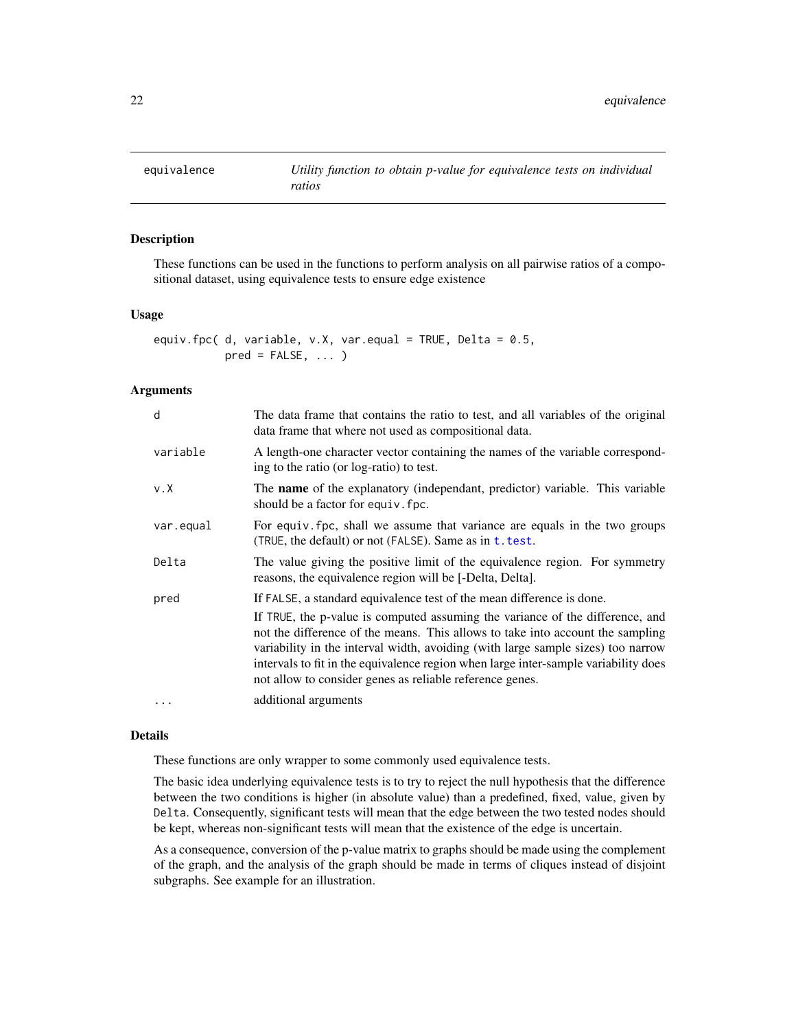<span id="page-21-0"></span>

#### <span id="page-21-1"></span>Description

These functions can be used in the functions to perform analysis on all pairwise ratios of a compositional dataset, using equivalence tests to ensure edge existence

#### Usage

```
equiv.fpc( d, variable, v.X, var.equal = TRUE, Delta = 0.5,
          pred = FALSE, ... )
```
#### Arguments

| d           | The data frame that contains the ratio to test, and all variables of the original<br>data frame that where not used as compositional data.                                                                                                                                                                                                                                                             |
|-------------|--------------------------------------------------------------------------------------------------------------------------------------------------------------------------------------------------------------------------------------------------------------------------------------------------------------------------------------------------------------------------------------------------------|
| variable    | A length-one character vector containing the names of the variable correspond-<br>ing to the ratio (or log-ratio) to test.                                                                                                                                                                                                                                                                             |
| $v \cdot X$ | The <b>name</b> of the explanatory (independant, predictor) variable. This variable<br>should be a factor for equiv. fpc.                                                                                                                                                                                                                                                                              |
| var.equal   | For equiv. fpc, shall we assume that variance are equals in the two groups<br>(TRUE, the default) or not (FALSE). Same as in t. test.                                                                                                                                                                                                                                                                  |
| Delta       | The value giving the positive limit of the equivalence region. For symmetry<br>reasons, the equivalence region will be [-Delta, Delta].                                                                                                                                                                                                                                                                |
| pred        | If FALSE, a standard equivalence test of the mean difference is done.                                                                                                                                                                                                                                                                                                                                  |
|             | If TRUE, the p-value is computed assuming the variance of the difference, and<br>not the difference of the means. This allows to take into account the sampling<br>variability in the interval width, avoiding (with large sample sizes) too narrow<br>intervals to fit in the equivalence region when large inter-sample variability does<br>not allow to consider genes as reliable reference genes. |
| $\ddotsc$   | additional arguments                                                                                                                                                                                                                                                                                                                                                                                   |

# Details

These functions are only wrapper to some commonly used equivalence tests.

The basic idea underlying equivalence tests is to try to reject the null hypothesis that the difference between the two conditions is higher (in absolute value) than a predefined, fixed, value, given by Delta. Consequently, significant tests will mean that the edge between the two tested nodes should be kept, whereas non-significant tests will mean that the existence of the edge is uncertain.

As a consequence, conversion of the p-value matrix to graphs should be made using the complement of the graph, and the analysis of the graph should be made in terms of cliques instead of disjoint subgraphs. See example for an illustration.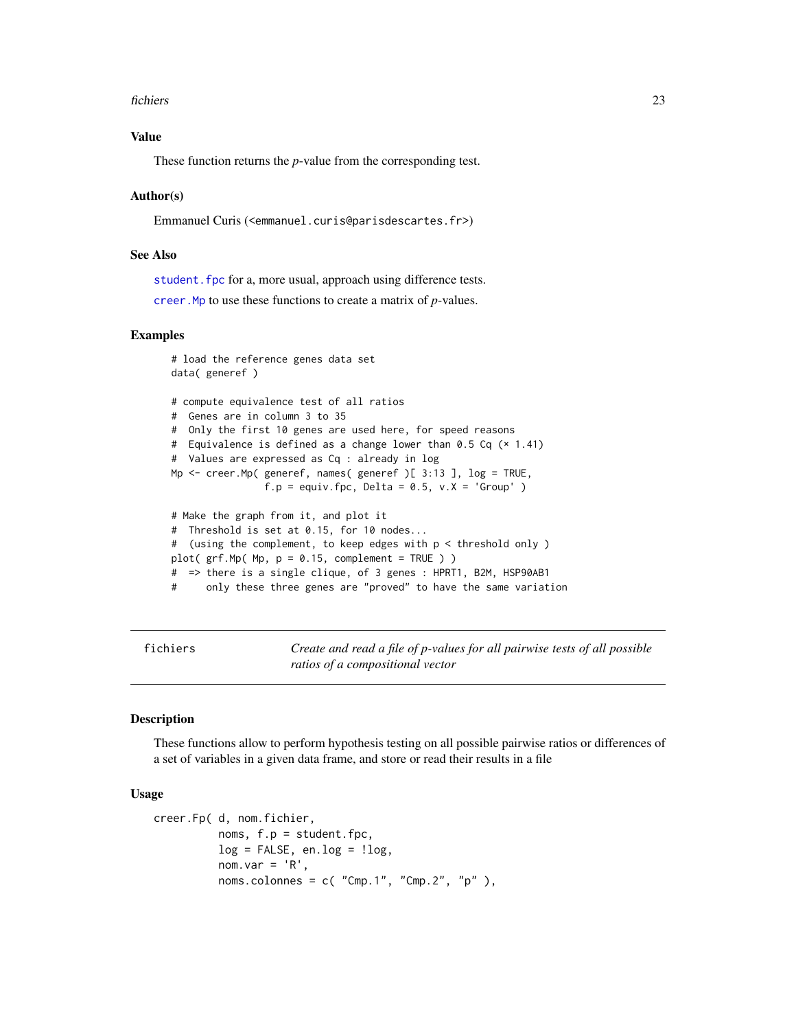#### <span id="page-22-0"></span>fichiers 23

# Value

These function returns the *p*-value from the corresponding test.

#### Author(s)

Emmanuel Curis (<emmanuel.curis@parisdescartes.fr>)

### See Also

student. fpc for a, more usual, approach using difference tests.

[creer.Mp](#page-17-1) to use these functions to create a matrix of *p*-values.

#### Examples

```
# load the reference genes data set
data( generef )
# compute equivalence test of all ratios
# Genes are in column 3 to 35
# Only the first 10 genes are used here, for speed reasons
# Equivalence is defined as a change lower than 0.5 Cq (× 1.41)
# Values are expressed as Cq : already in log
Mp <- creer.Mp( generef, names( generef )[ 3:13 ], log = TRUE,
               f.p = equiv.fpc, Delta = 0.5, v.X = 'Group')
# Make the graph from it, and plot it
# Threshold is set at 0.15, for 10 nodes...
# (using the complement, to keep edges with p < threshold only )
plot( grf.Mp( Mp, p = 0.15, complement = TRUE ) )
# => there is a single clique, of 3 genes : HPRT1, B2M, HSP90AB1
# only these three genes are "proved" to have the same variation
```
fichiers *Create and read a file of p-values for all pairwise tests of all possible ratios of a compositional vector*

#### Description

These functions allow to perform hypothesis testing on all possible pairwise ratios or differences of a set of variables in a given data frame, and store or read their results in a file

#### Usage

```
creer.Fp( d, nom.fichier,
          noms, f.p = student.fpc,
          log = FALSE, en.log = !log,
          nom.var = 'R',
          noms.colonnes = c( "Cmp.1", "Cmp.2", "p" ),
```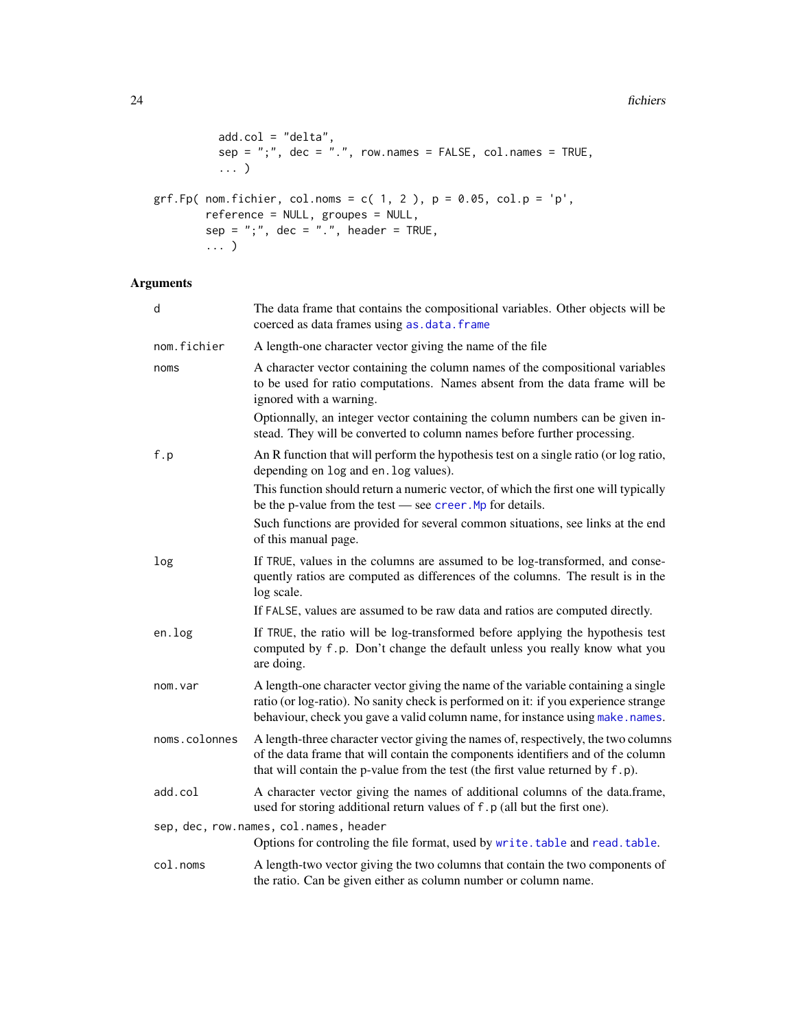#### <span id="page-23-0"></span>24 fichiers

```
add.col = "delta",
          sep = ";", dec = ".", row.names = FALSE, col.names = TRUE,
          ... )
grf.Fp( nom.fichier, col.noms = c( 1, 2 ), p = 0.05, col.p = 'p',
        reference = NULL, groupes = NULL,
        sep = ";", dec = "."", header = TRUE,
        ... )
```

| d             | The data frame that contains the compositional variables. Other objects will be<br>coerced as data frames using as . data. frame                                                                                                                          |  |
|---------------|-----------------------------------------------------------------------------------------------------------------------------------------------------------------------------------------------------------------------------------------------------------|--|
| nom.fichier   | A length-one character vector giving the name of the file                                                                                                                                                                                                 |  |
| noms          | A character vector containing the column names of the compositional variables<br>to be used for ratio computations. Names absent from the data frame will be<br>ignored with a warning.                                                                   |  |
|               | Optionnally, an integer vector containing the column numbers can be given in-<br>stead. They will be converted to column names before further processing.                                                                                                 |  |
| f.p           | An R function that will perform the hypothesis test on a single ratio (or log ratio,<br>depending on log and en. log values).                                                                                                                             |  |
|               | This function should return a numeric vector, of which the first one will typically<br>be the p-value from the test $-$ see creer. Mp for details.                                                                                                        |  |
|               | Such functions are provided for several common situations, see links at the end<br>of this manual page.                                                                                                                                                   |  |
| log           | If TRUE, values in the columns are assumed to be log-transformed, and conse-<br>quently ratios are computed as differences of the columns. The result is in the<br>log scale.                                                                             |  |
|               | If FALSE, values are assumed to be raw data and ratios are computed directly.                                                                                                                                                                             |  |
| en.log        | If TRUE, the ratio will be log-transformed before applying the hypothesis test<br>computed by f.p. Don't change the default unless you really know what you<br>are doing.                                                                                 |  |
| nom.var       | A length-one character vector giving the name of the variable containing a single<br>ratio (or log-ratio). No sanity check is performed on it: if you experience strange<br>behaviour, check you gave a valid column name, for instance using make.names. |  |
| noms.colonnes | A length-three character vector giving the names of, respectively, the two columns<br>of the data frame that will contain the components identifiers and of the column<br>that will contain the p-value from the test (the first value returned by f.p).  |  |
| add.col       | A character vector giving the names of additional columns of the data.frame,<br>used for storing additional return values of f.p (all but the first one).                                                                                                 |  |
|               | sep, dec, row.names, col.names, header<br>Options for controling the file format, used by write. table and read. table.                                                                                                                                   |  |
| col.noms      | A length-two vector giving the two columns that contain the two components of<br>the ratio. Can be given either as column number or column name.                                                                                                          |  |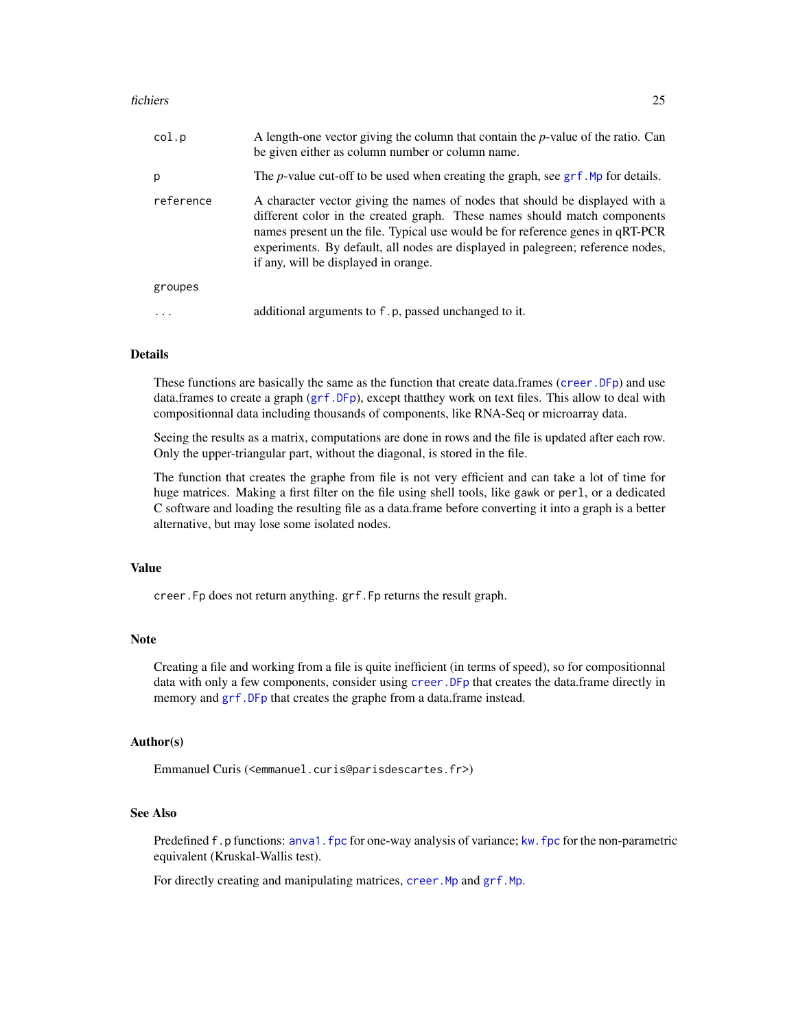#### <span id="page-24-0"></span>fichiers 25

| col.p     | A length-one vector giving the column that contain the $p$ -value of the ratio. Can<br>be given either as column number or column name.                                                                                                                                                                                                                                |
|-----------|------------------------------------------------------------------------------------------------------------------------------------------------------------------------------------------------------------------------------------------------------------------------------------------------------------------------------------------------------------------------|
| р         | The <i>p</i> -value cut-off to be used when creating the graph, see grf. Mp for details.                                                                                                                                                                                                                                                                               |
| reference | A character vector giving the names of nodes that should be displayed with a<br>different color in the created graph. These names should match components<br>names present un the file. Typical use would be for reference genes in qRT-PCR<br>experiments. By default, all nodes are displayed in palegreen; reference nodes,<br>if any, will be displayed in orange. |
| groupes   |                                                                                                                                                                                                                                                                                                                                                                        |
|           | additional arguments to f.p, passed unchanged to it.                                                                                                                                                                                                                                                                                                                   |

# **Details**

These functions are basically the same as the function that create data.frames ([creer.DFp](#page-13-1)) and use data.frames to create a graph ([grf.DFp](#page-15-1)), except thatthey work on text files. This allow to deal with compositionnal data including thousands of components, like RNA-Seq or microarray data.

Seeing the results as a matrix, computations are done in rows and the file is updated after each row. Only the upper-triangular part, without the diagonal, is stored in the file.

The function that creates the graphe from file is not very efficient and can take a lot of time for huge matrices. Making a first filter on the file using shell tools, like gawk or perl, or a dedicated C software and loading the resulting file as a data.frame before converting it into a graph is a better alternative, but may lose some isolated nodes.

#### Value

creer.Fp does not return anything. grf.Fp returns the result graph.

# Note

Creating a file and working from a file is quite inefficient (in terms of speed), so for compositionnal data with only a few components, consider using creer. DFp that creates the data.frame directly in memory and grf. DFp that creates the graphe from a data.frame instead.

#### Author(s)

Emmanuel Curis (<emmanuel.curis@parisdescartes.fr>)

# See Also

Predefined f.p functions: [anva1.fpc](#page-36-1) for one-way analysis of variance; kw. fpc for the non-parametric equivalent (Kruskal-Wallis test).

For directly creating and manipulating matrices, creer. Mp and grf. Mp.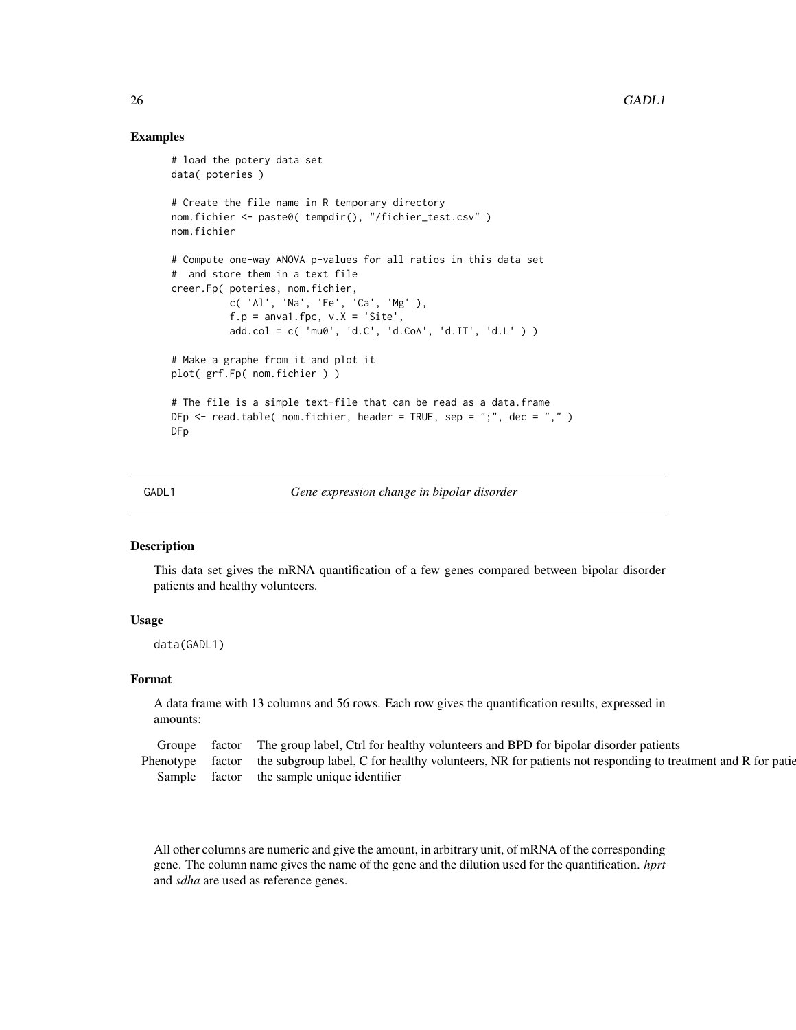# Examples

```
# load the potery data set
data( poteries )
# Create the file name in R temporary directory
nom.fichier <- paste0( tempdir(), "/fichier_test.csv" )
nom.fichier
# Compute one-way ANOVA p-values for all ratios in this data set
# and store them in a text file
creer.Fp( poteries, nom.fichier,
          c( 'Al', 'Na', 'Fe', 'Ca', 'Mg' ),
          f.p = anval.fpc, v.X = 'Site',add.col = c('mu0', 'd.C', 'd.Cod', 'd.IT', 'd.L') )# Make a graphe from it and plot it
plot( grf.Fp( nom.fichier ) )
# The file is a simple text-file that can be read as a data.frame
DFp \leq read.table( nom.fichier, header = TRUE, sep = ";", dec = ",")
DFp
```
#### GADL1 *Gene expression change in bipolar disorder*

### Description

This data set gives the mRNA quantification of a few genes compared between bipolar disorder patients and healthy volunteers.

#### Usage

data(GADL1)

#### Format

A data frame with 13 columns and 56 rows. Each row gives the quantification results, expressed in amounts:

| Groupe | factor The group label, Ctrl for healthy volunteers and BPD for bipolar disorder patients                                  |
|--------|----------------------------------------------------------------------------------------------------------------------------|
|        | Phenotype factor the subgroup label, C for healthy volunteers, NR for patients not responding to treatment and R for patie |
|        | Sample factor the sample unique identifier                                                                                 |

All other columns are numeric and give the amount, in arbitrary unit, of mRNA of the corresponding gene. The column name gives the name of the gene and the dilution used for the quantification. *hprt* and *sdha* are used as reference genes.

<span id="page-25-0"></span>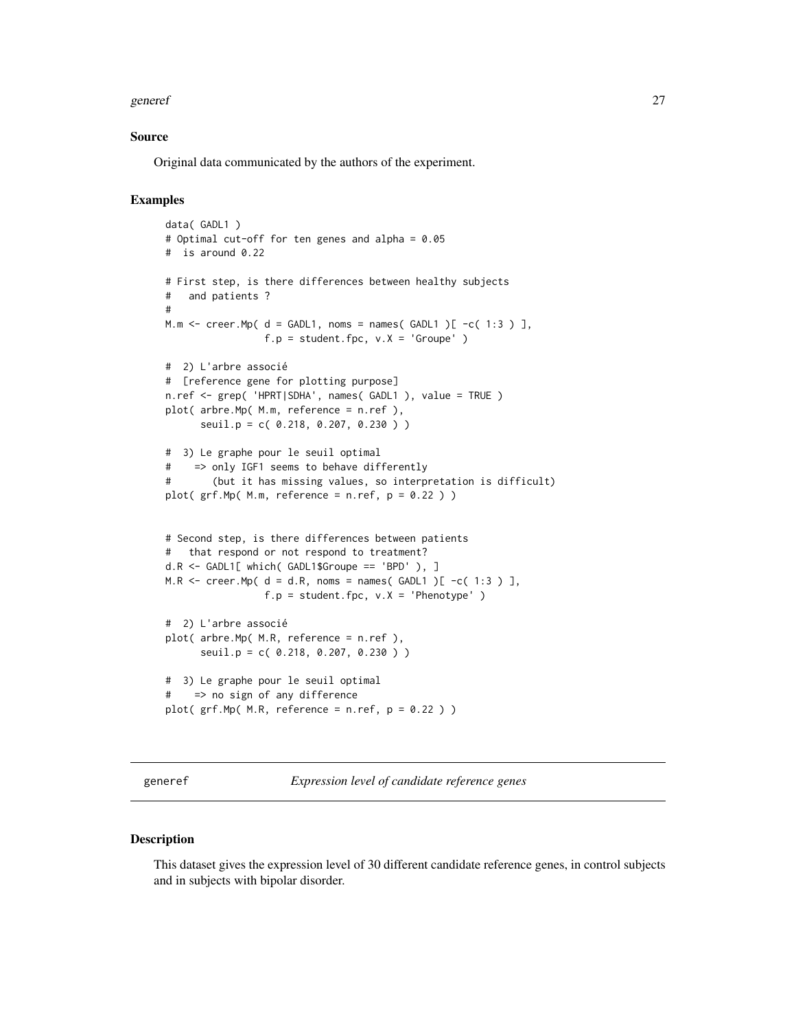#### <span id="page-26-0"></span>generef 27

#### Source

Original data communicated by the authors of the experiment.

# Examples

```
data( GADL1 )
# Optimal cut-off for ten genes and alpha = 0.05
# is around 0.22
# First step, is there differences between healthy subjects
# and patients ?
#
M.m \le - creer. Mp( d = GADL1, noms = names( GADL1 )[ -c( 1:3 ) ],
                f.p = student.fpc, v.X = 'Groupe' )# 2) L'arbre associé
# [reference gene for plotting purpose]
n.ref <- grep( 'HPRT|SDHA', names( GADL1 ), value = TRUE )
plot( arbre.Mp( M.m, reference = n.ref ),
     seuil.p = c( 0.218, 0.207, 0.230 ) )
# 3) Le graphe pour le seuil optimal
# => only IGF1 seems to behave differently
# (but it has missing values, so interpretation is difficult)
plot( grf.Mp( M.m, reference = n.ref, p = 0.22 ) )
# Second step, is there differences between patients
# that respond or not respond to treatment?
d.R <- GADL1[ which( GADL1$Groupe == 'BPD' ), ]
M.R \le creer.Mp( d = d.R, noms = names( GADL1 )[ -c( 1:3 ) ],
                f.p = student.fpc, v.X = 'Phenotype' )# 2) L'arbre associé
plot( arbre.Mp( M.R, reference = n.ref ),
      seuil.p = c( 0.218, 0.207, 0.230 ) )
# 3) Le graphe pour le seuil optimal
# => no sign of any difference
plot( grf.Mp(M.R, reference = n.ref, p = 0.22) )
```
generef *Expression level of candidate reference genes*

#### Description

This dataset gives the expression level of 30 different candidate reference genes, in control subjects and in subjects with bipolar disorder.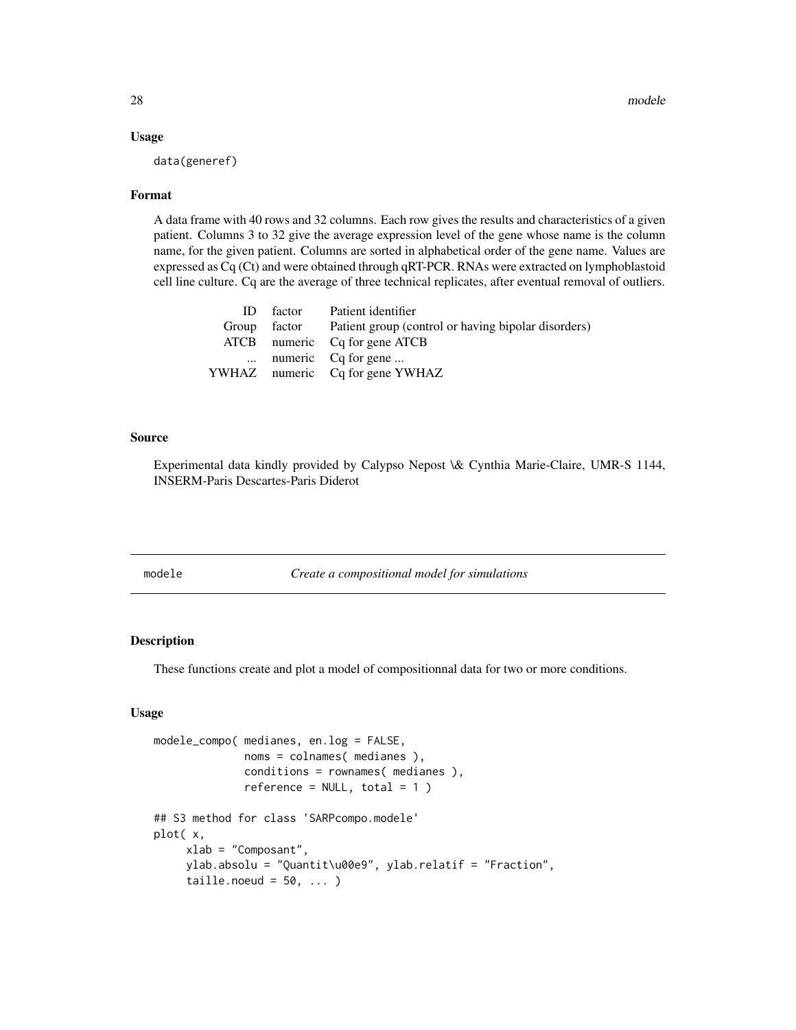#### Usage

data(generef)

#### Format

A data frame with 40 rows and 32 columns. Each row gives the results and characteristics of a given patient. Columns 3 to 32 give the average expression level of the gene whose name is the column name, for the given patient. Columns are sorted in alphabetical order of the gene name. Values are expressed as Cq (Ct) and were obtained through qRT-PCR. RNAs were extracted on lymphoblastoid cell line culture. Cq are the average of three technical replicates, after eventual removal of outliers.

| ID factor | Patient identifier                                               |
|-----------|------------------------------------------------------------------|
|           | Group factor Patient group (control or having bipolar disorders) |
|           | ATCB numeric Cq for gene ATCB                                    |
|           | $\ldots$ numeric Cq for gene $\ldots$                            |
|           | YWHAZ numeric Cq for gene YWHAZ                                  |

# Source

Experimental data kindly provided by Calypso Nepost \& Cynthia Marie-Claire, UMR-S 1144, INSERM-Paris Descartes-Paris Diderot

modele *Create a compositional model for simulations*

#### <span id="page-27-1"></span>Description

These functions create and plot a model of compositionnal data for two or more conditions.

#### Usage

```
modele_compo( medianes, en.log = FALSE,
              noms = colnames( medianes ),
              conditions = rownames( medianes ),
              reference = NULL, total = 1 )
## S3 method for class 'SARPcompo.modele'
plot( x,
     xlab = "Composant",
     ylab.absolu = "Quantit\u00e9", ylab.relatif = "Fraction",
     taille.noeud = 50, ...)
```
<span id="page-27-0"></span>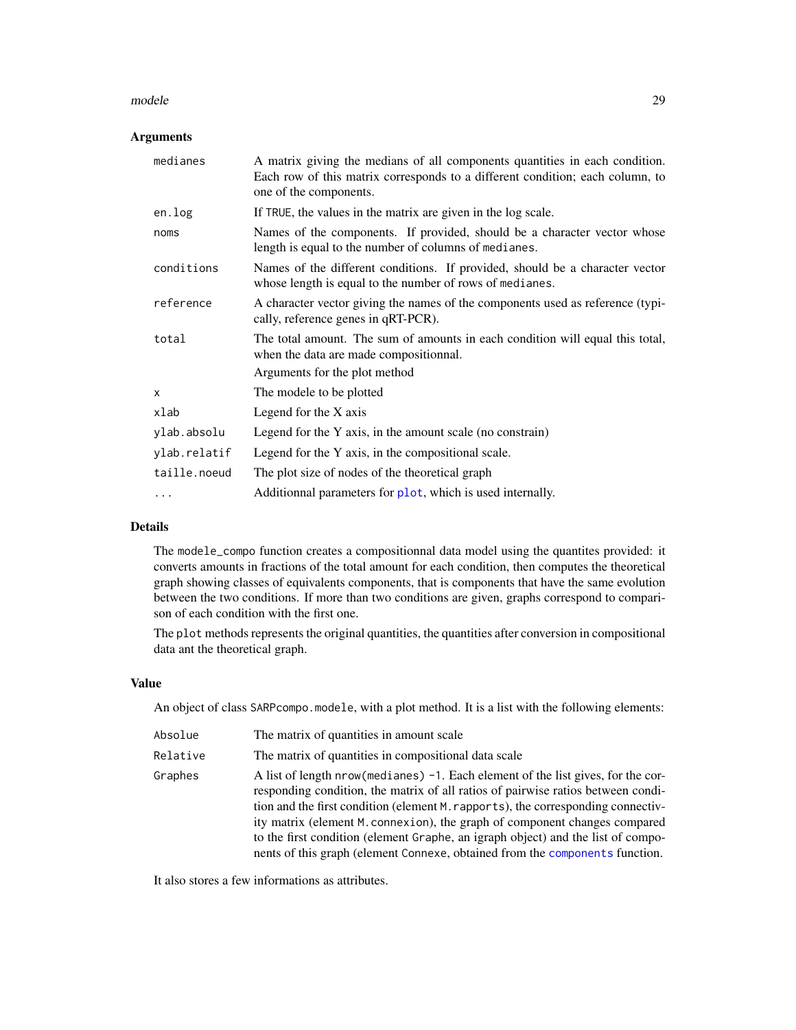#### <span id="page-28-0"></span>modele 29

# Arguments

| medianes     | A matrix giving the medians of all components quantities in each condition.<br>Each row of this matrix corresponds to a different condition; each column, to<br>one of the components. |  |  |
|--------------|----------------------------------------------------------------------------------------------------------------------------------------------------------------------------------------|--|--|
| en.log       | If TRUE, the values in the matrix are given in the log scale.                                                                                                                          |  |  |
| noms         | Names of the components. If provided, should be a character vector whose<br>length is equal to the number of columns of medianes.                                                      |  |  |
| conditions   | Names of the different conditions. If provided, should be a character vector<br>whose length is equal to the number of rows of medianes.                                               |  |  |
| reference    | A character vector giving the names of the components used as reference (typi-<br>cally, reference genes in qRT-PCR).                                                                  |  |  |
| total        | The total amount. The sum of amounts in each condition will equal this total,<br>when the data are made compositionnal.<br>Arguments for the plot method                               |  |  |
| X            | The modele to be plotted                                                                                                                                                               |  |  |
| xlab         | Legend for the X axis                                                                                                                                                                  |  |  |
| ylab.absolu  | Legend for the Y axis, in the amount scale (no constrain)                                                                                                                              |  |  |
| ylab.relatif | Legend for the Y axis, in the compositional scale.                                                                                                                                     |  |  |
| taille.noeud | The plot size of nodes of the theoretical graph                                                                                                                                        |  |  |
| .            | Additionnal parameters for plot, which is used internally.                                                                                                                             |  |  |

# Details

The modele\_compo function creates a compositionnal data model using the quantites provided: it converts amounts in fractions of the total amount for each condition, then computes the theoretical graph showing classes of equivalents components, that is components that have the same evolution between the two conditions. If more than two conditions are given, graphs correspond to comparison of each condition with the first one.

The plot methods represents the original quantities, the quantities after conversion in compositional data ant the theoretical graph.

#### Value

An object of class SARPcompo.modele, with a plot method. It is a list with the following elements:

| Absolue  | The matrix of quantities in amount scale                                                                                                                                                                                                                                                                                                                                                                                                                                                                         |
|----------|------------------------------------------------------------------------------------------------------------------------------------------------------------------------------------------------------------------------------------------------------------------------------------------------------------------------------------------------------------------------------------------------------------------------------------------------------------------------------------------------------------------|
| Relative | The matrix of quantities in compositional data scale                                                                                                                                                                                                                                                                                                                                                                                                                                                             |
| Graphes  | A list of length $nrow(mediances) - 1$ . Each element of the list gives, for the cor-<br>responding condition, the matrix of all ratios of pairwise ratios between condi-<br>tion and the first condition (element M. rapports), the corresponding connectiv-<br>ity matrix (element M. connextion), the graph of component changes compared<br>to the first condition (element Graphe, an igraph object) and the list of compo-<br>nents of this graph (element Connexe, obtained from the components function. |

It also stores a few informations as attributes.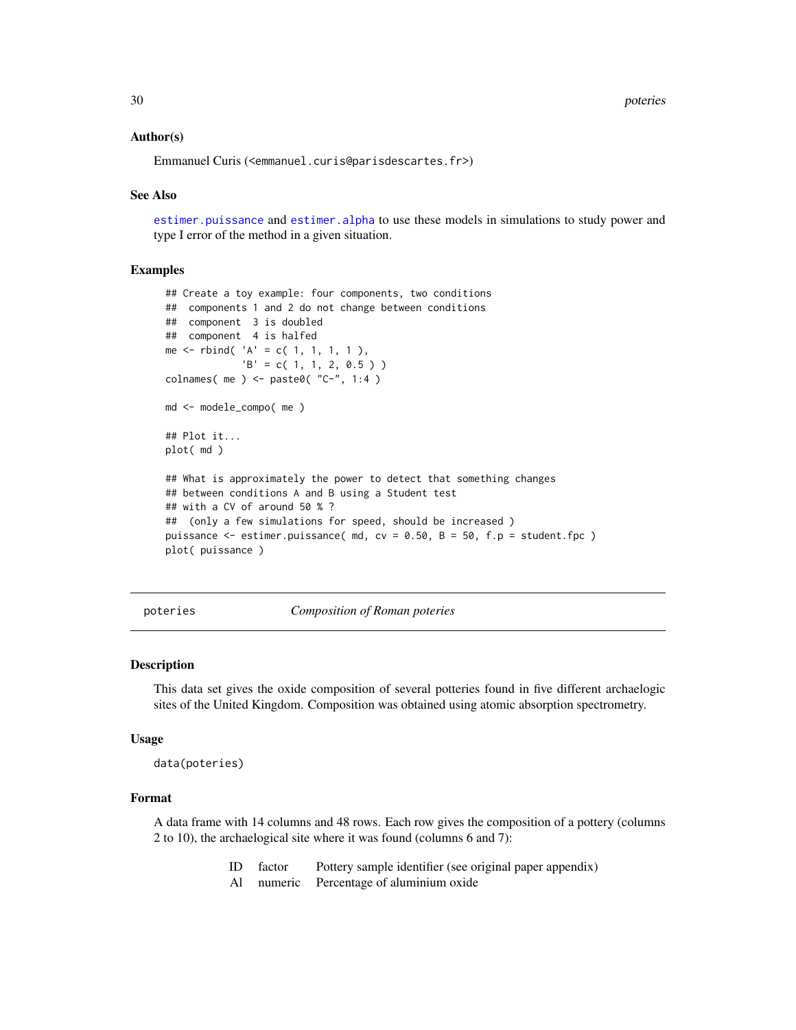<span id="page-29-0"></span>30 poteries

#### Author(s)

Emmanuel Curis (<emmanuel.curis@parisdescartes.fr>)

#### See Also

[estimer.puissance](#page-31-1) and [estimer.alpha](#page-31-1) to use these models in simulations to study power and type I error of the method in a given situation.

#### Examples

```
## Create a toy example: four components, two conditions
## components 1 and 2 do not change between conditions
## component 3 is doubled
## component 4 is halfed
me \le rbind( 'A' = c( 1, 1, 1, 1),
             'B' = c(1, 1, 2, 0.5)colnames( me ) <- paste0( "C-", 1:4 )
md <- modele_compo( me )
## Plot it...
plot( md )
## What is approximately the power to detect that something changes
## between conditions A and B using a Student test
## with a CV of around 50 % ?
## (only a few simulations for speed, should be increased )
puissance <- estimer.puissance( md, cv = 0.50, B = 50, f.p = student.fpc )
plot( puissance )
```
poteries *Composition of Roman poteries*

#### **Description**

This data set gives the oxide composition of several potteries found in five different archaelogic sites of the United Kingdom. Composition was obtained using atomic absorption spectrometry.

#### Usage

data(poteries)

# Format

A data frame with 14 columns and 48 rows. Each row gives the composition of a pottery (columns 2 to 10), the archaelogical site where it was found (columns 6 and 7):

- ID factor Pottery sample identifier (see original paper appendix)
- Al numeric Percentage of aluminium oxide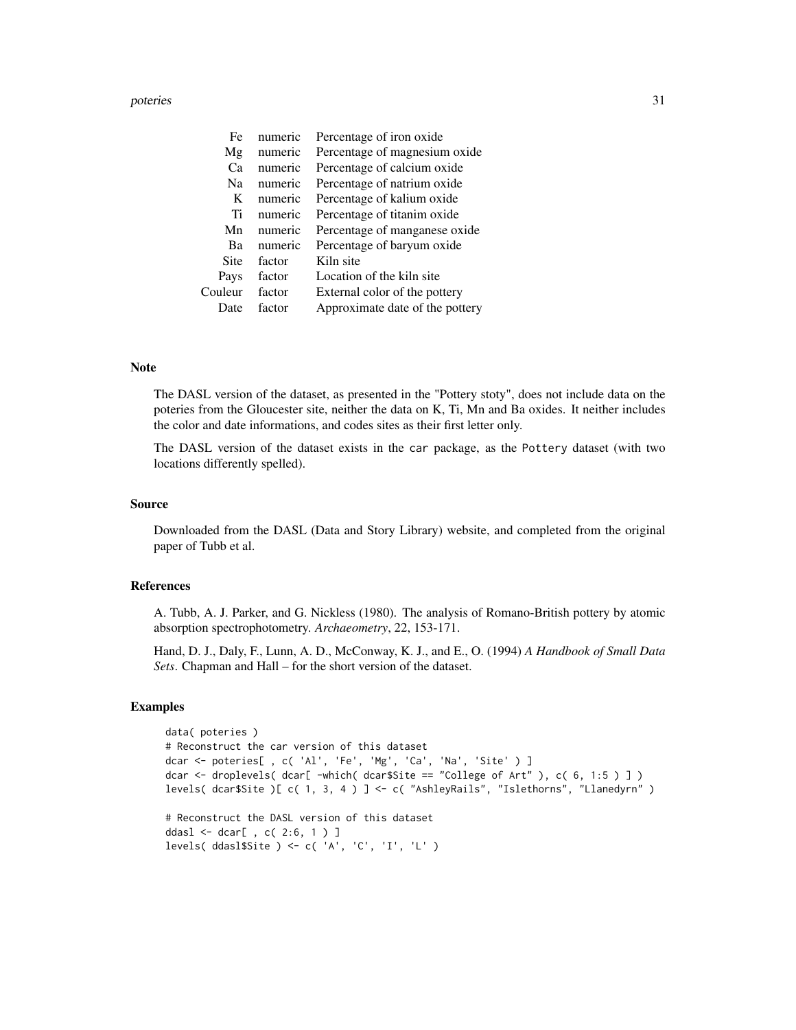#### poteries 31

| Fe      | numeric | Percentage of iron oxide        |
|---------|---------|---------------------------------|
| Mg      | numeric | Percentage of magnesium oxide   |
| Cа      | numeric | Percentage of calcium oxide     |
| Na      | numeric | Percentage of natrium oxide     |
| K       | numeric | Percentage of kalium oxide      |
| Ti      | numeric | Percentage of titanim oxide     |
| Mn      | numeric | Percentage of manganese oxide   |
| Ba      | numeric | Percentage of baryum oxide      |
| Site    | factor  | Kiln site                       |
| Pays    | factor  | Location of the kiln site       |
| Couleur | factor  | External color of the pottery   |
| Date    | factor  | Approximate date of the pottery |

#### Note

The DASL version of the dataset, as presented in the "Pottery stoty", does not include data on the poteries from the Gloucester site, neither the data on K, Ti, Mn and Ba oxides. It neither includes the color and date informations, and codes sites as their first letter only.

The DASL version of the dataset exists in the car package, as the Pottery dataset (with two locations differently spelled).

#### Source

Downloaded from the DASL (Data and Story Library) website, and completed from the original paper of Tubb et al.

# References

A. Tubb, A. J. Parker, and G. Nickless (1980). The analysis of Romano-British pottery by atomic absorption spectrophotometry. *Archaeometry*, 22, 153-171.

Hand, D. J., Daly, F., Lunn, A. D., McConway, K. J., and E., O. (1994) *A Handbook of Small Data Sets*. Chapman and Hall – for the short version of the dataset.

# Examples

```
data( poteries )
# Reconstruct the car version of this dataset
dcar <- poteries[ , c( 'Al', 'Fe', 'Mg', 'Ca', 'Na', 'Site' ) ]
dcar \leq droplevels( dcar[ -which( dcar$Site == "College of Art" ), c( 6, 1:5 ) ] )
levels( dcar$Site )[ c( 1, 3, 4 ) ] <- c( "AshleyRails", "Islethorns", "Llanedyrn" )
# Reconstruct the DASL version of this dataset
```
ddasl <- dcar[ , c( 2:6, 1 ) ] levels( ddasl\$Site ) <- c( 'A', 'C', 'I', 'L' )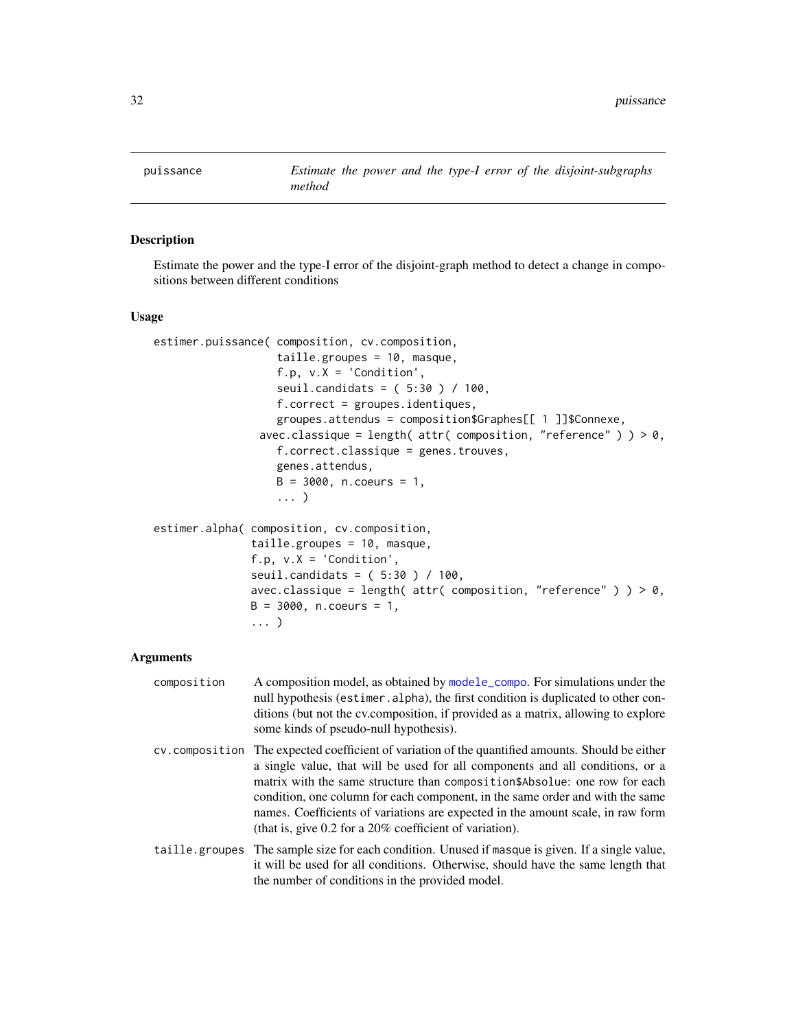<span id="page-31-0"></span>

#### <span id="page-31-1"></span>Description

Estimate the power and the type-I error of the disjoint-graph method to detect a change in compositions between different conditions

# Usage

```
estimer.puissance( composition, cv.composition,
                   taille.groupes = 10, masque,
                   f.p, v.X = 'Condition',seuil.candidats = ( 5:30 ) / 100,
                   f.correct = groupes.identiques,
                   groupes.attendus = composition$Graphes[[ 1 ]]$Connexe,
                avec.classique = length( attr( composition, "reference" ) ) > 0,
                   f.correct.classique = genes.trouves,
                   genes.attendus,
                   B = 3000, n.coeurs = 1,
                   ... )
estimer.alpha( composition, cv.composition,
               taille.groupes = 10, masque,
               f.p, v.X = 'Condition',seuil.candidats = ( 5:30 ) / 100,
               avec.classique = length( attr( composition, "reference" ) ) > 0,
               B = 3000, n.coeurs = 1,
               ... )
```

| composition | A composition model, as obtained by modele_compo. For simulations under the<br>null hypothesis (estimer.alpha), the first condition is duplicated to other con-<br>ditions (but not the cv.composition, if provided as a matrix, allowing to explore<br>some kinds of pseudo-null hypothesis).                                                                                                                                                                                                   |
|-------------|--------------------------------------------------------------------------------------------------------------------------------------------------------------------------------------------------------------------------------------------------------------------------------------------------------------------------------------------------------------------------------------------------------------------------------------------------------------------------------------------------|
|             | cy, composition The expected coefficient of variation of the quantified amounts. Should be either<br>a single value, that will be used for all components and all conditions, or a<br>matrix with the same structure than composition \$Absolue: one row for each<br>condition, one column for each component, in the same order and with the same<br>names. Coefficients of variations are expected in the amount scale, in raw form<br>(that is, give 0.2 for a 20% coefficient of variation). |
|             | taille, groupes The sample size for each condition. Unused if masque is given. If a single value,<br>it will be used for all conditions. Otherwise, should have the same length that<br>the number of conditions in the provided model.                                                                                                                                                                                                                                                          |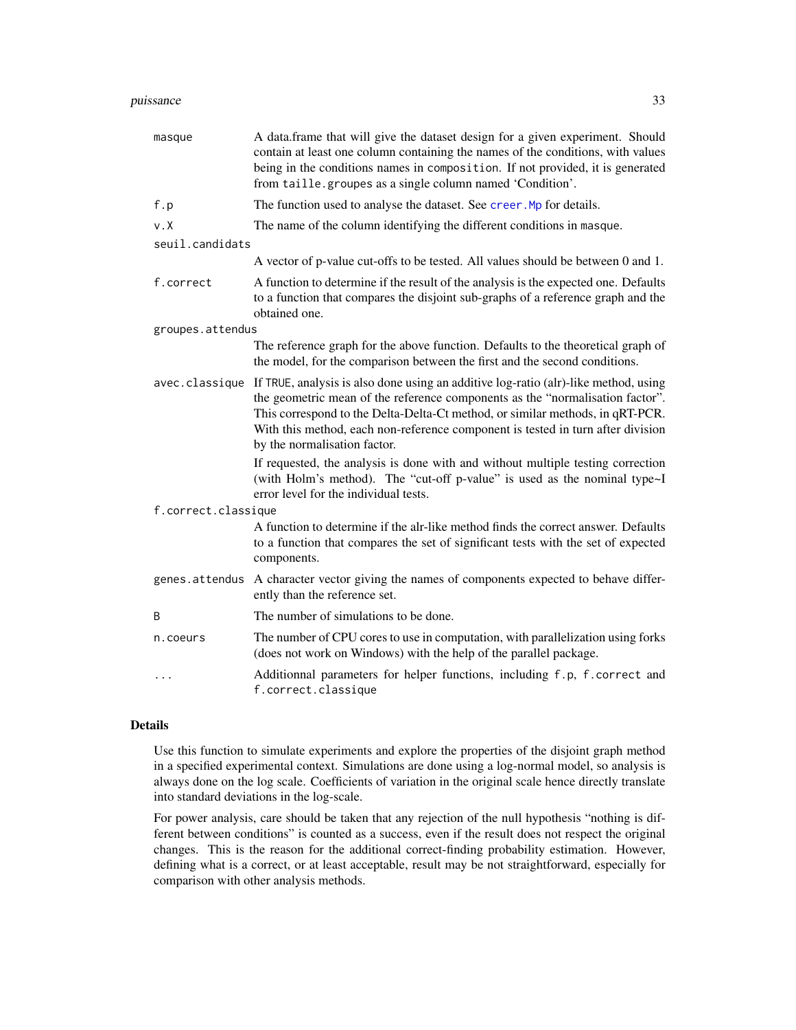#### <span id="page-32-0"></span>puissance 33

| masque              | A data.frame that will give the dataset design for a given experiment. Should<br>contain at least one column containing the names of the conditions, with values<br>being in the conditions names in composition. If not provided, it is generated<br>from taille.groupes as a single column named 'Condition'.                                                          |  |
|---------------------|--------------------------------------------------------------------------------------------------------------------------------------------------------------------------------------------------------------------------------------------------------------------------------------------------------------------------------------------------------------------------|--|
| f.p                 | The function used to analyse the dataset. See creer. Mp for details.                                                                                                                                                                                                                                                                                                     |  |
| $v \cdot X$         | The name of the column identifying the different conditions in masque.                                                                                                                                                                                                                                                                                                   |  |
| seuil.candidats     |                                                                                                                                                                                                                                                                                                                                                                          |  |
|                     | A vector of p-value cut-offs to be tested. All values should be between 0 and 1.                                                                                                                                                                                                                                                                                         |  |
| f.correct           | A function to determine if the result of the analysis is the expected one. Defaults<br>to a function that compares the disjoint sub-graphs of a reference graph and the<br>obtained one.                                                                                                                                                                                 |  |
| groupes.attendus    |                                                                                                                                                                                                                                                                                                                                                                          |  |
|                     | The reference graph for the above function. Defaults to the theoretical graph of<br>the model, for the comparison between the first and the second conditions.                                                                                                                                                                                                           |  |
| avec.classique      | If TRUE, analysis is also done using an additive log-ratio (alr)-like method, using<br>the geometric mean of the reference components as the "normalisation factor".<br>This correspond to the Delta-Delta-Ct method, or similar methods, in qRT-PCR.<br>With this method, each non-reference component is tested in turn after division<br>by the normalisation factor. |  |
|                     | If requested, the analysis is done with and without multiple testing correction<br>(with Holm's method). The "cut-off p-value" is used as the nominal type~I<br>error level for the individual tests.                                                                                                                                                                    |  |
| f.correct.classique |                                                                                                                                                                                                                                                                                                                                                                          |  |
|                     | A function to determine if the alr-like method finds the correct answer. Defaults<br>to a function that compares the set of significant tests with the set of expected<br>components.                                                                                                                                                                                    |  |
| genes.attendus      | A character vector giving the names of components expected to behave differ-<br>ently than the reference set.                                                                                                                                                                                                                                                            |  |
| B                   | The number of simulations to be done.                                                                                                                                                                                                                                                                                                                                    |  |
| n.coeurs            | The number of CPU cores to use in computation, with parallelization using forks<br>(does not work on Windows) with the help of the parallel package.                                                                                                                                                                                                                     |  |
|                     | Additionnal parameters for helper functions, including f.p, f.correct and<br>f.correct.classique                                                                                                                                                                                                                                                                         |  |

# Details

Use this function to simulate experiments and explore the properties of the disjoint graph method in a specified experimental context. Simulations are done using a log-normal model, so analysis is always done on the log scale. Coefficients of variation in the original scale hence directly translate into standard deviations in the log-scale.

For power analysis, care should be taken that any rejection of the null hypothesis "nothing is different between conditions" is counted as a success, even if the result does not respect the original changes. This is the reason for the additional correct-finding probability estimation. However, defining what is a correct, or at least acceptable, result may be not straightforward, especially for comparison with other analysis methods.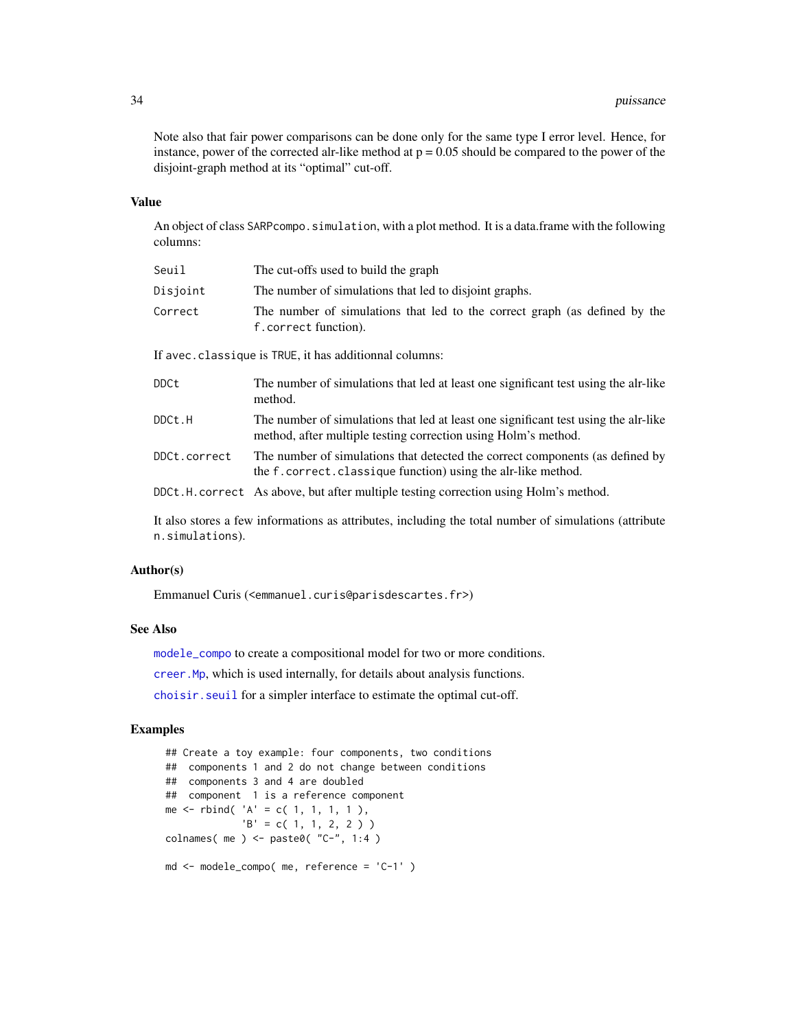<span id="page-33-0"></span>Note also that fair power comparisons can be done only for the same type I error level. Hence, for instance, power of the corrected alr-like method at  $p = 0.05$  should be compared to the power of the disjoint-graph method at its "optimal" cut-off.

#### Value

An object of class SARPcompo. simulation, with a plot method. It is a data.frame with the following columns:

| Seuil        | The cut-offs used to build the graph                                                                                                                  |  |  |
|--------------|-------------------------------------------------------------------------------------------------------------------------------------------------------|--|--|
| Disjoint     | The number of simulations that led to disjoint graphs.                                                                                                |  |  |
| Correct      | The number of simulations that led to the correct graph (as defined by the<br>f.correct function).                                                    |  |  |
|              | If avec. classique is TRUE, it has additionnal columns:                                                                                               |  |  |
| DDCt         | The number of simulations that led at least one significant test using the alr-like<br>method.                                                        |  |  |
| DDCt.H       | The number of simulations that led at least one significant test using the alr-like<br>method, after multiple testing correction using Holm's method. |  |  |
| DDCt.correct | The number of simulations that detected the correct components (as defined by<br>the f. correct. classique function) using the alr-like method.       |  |  |
|              | DDCt.H. correct As above, but after multiple testing correction using Holm's method.                                                                  |  |  |

It also stores a few informations as attributes, including the total number of simulations (attribute n.simulations).

#### Author(s)

Emmanuel Curis (<emmanuel.curis@parisdescartes.fr>)

# See Also

[modele\\_compo](#page-27-1) to create a compositional model for two or more conditions.

[creer.Mp](#page-17-1), which is used internally, for details about analysis functions.

[choisir.seuil](#page-5-1) for a simpler interface to estimate the optimal cut-off.

# Examples

```
## Create a toy example: four components, two conditions
## components 1 and 2 do not change between conditions
## components 3 and 4 are doubled
## component 1 is a reference component
me \le - rbind( 'A' = c( 1, 1, 1, 1),
             'B' = c(1, 1, 2, 2)colnames( me ) \leq paste0( "C-", 1:4 )
md <- modele_compo( me, reference = 'C-1' )
```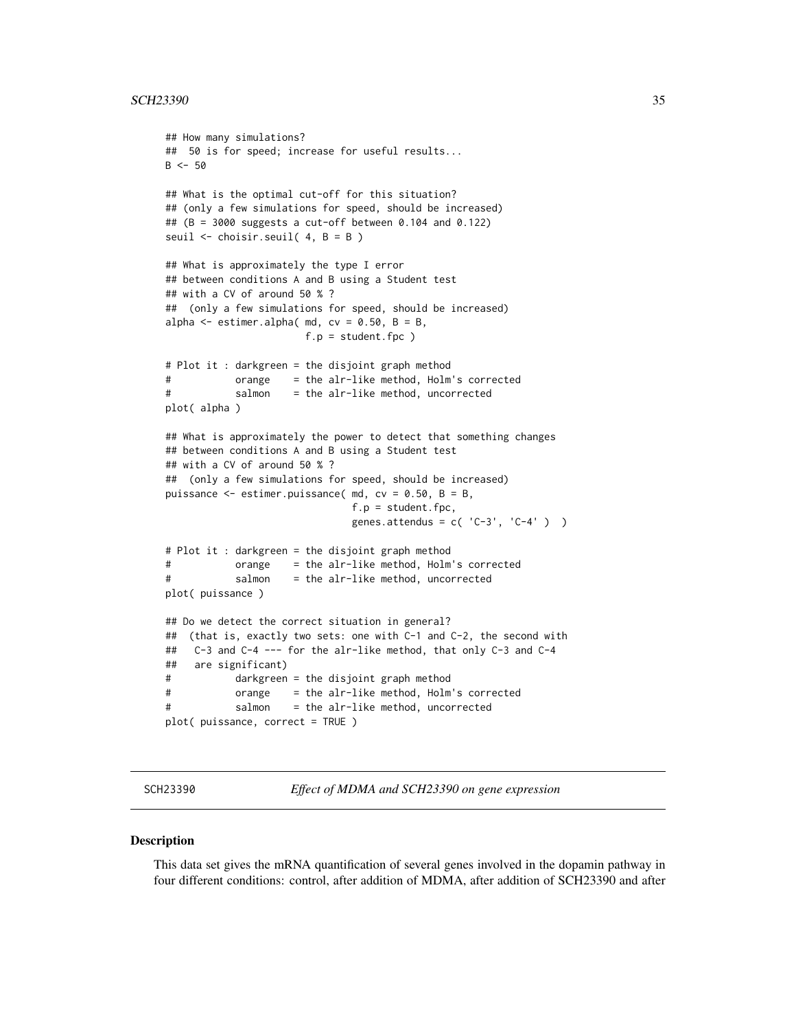```
## How many simulations?
## 50 is for speed; increase for useful results...
B < -50## What is the optimal cut-off for this situation?
## (only a few simulations for speed, should be increased)
## (B = 3000 suggests a cut-off between 0.104 and 0.122)
seuil <- choisir.seuil( 4, B = B )
## What is approximately the type I error
## between conditions A and B using a Student test
## with a CV of around 50 % ?
## (only a few simulations for speed, should be increased)
alpha \leq estimer.alpha( md, cv = 0.50, B = B,
                      f.p = student.fpc)
# Plot it : darkgreen = the disjoint graph method
# orange = the alr-like method, Holm's corrected
# salmon = the alr-like method, uncorrected
plot( alpha )
## What is approximately the power to detect that something changes
## between conditions A and B using a Student test
## with a CV of around 50 % ?
## (only a few simulations for speed, should be increased)
puissance \leq estimer.puissance( md, cv = 0.50, B = B,
                              f.p = student.fpc,
                              genes.attendus = c('C-3', 'C-4') )# Plot it : darkgreen = the disjoint graph method
# orange = the alr-like method, Holm's corrected
# salmon = the alr-like method, uncorrected
plot( puissance )
## Do we detect the correct situation in general?
## (that is, exactly two sets: one with C-1 and C-2, the second with
## C-3 and C-4 --- for the alr-like method, that only C-3 and C-4
## are significant)
# darkgreen = the disjoint graph method
# orange = the alr-like method, Holm's corrected
# salmon = the alr-like method, uncorrected
plot( puissance, correct = TRUE )
```
SCH23390 *Effect of MDMA and SCH23390 on gene expression*

#### **Description**

This data set gives the mRNA quantification of several genes involved in the dopamin pathway in four different conditions: control, after addition of MDMA, after addition of SCH23390 and after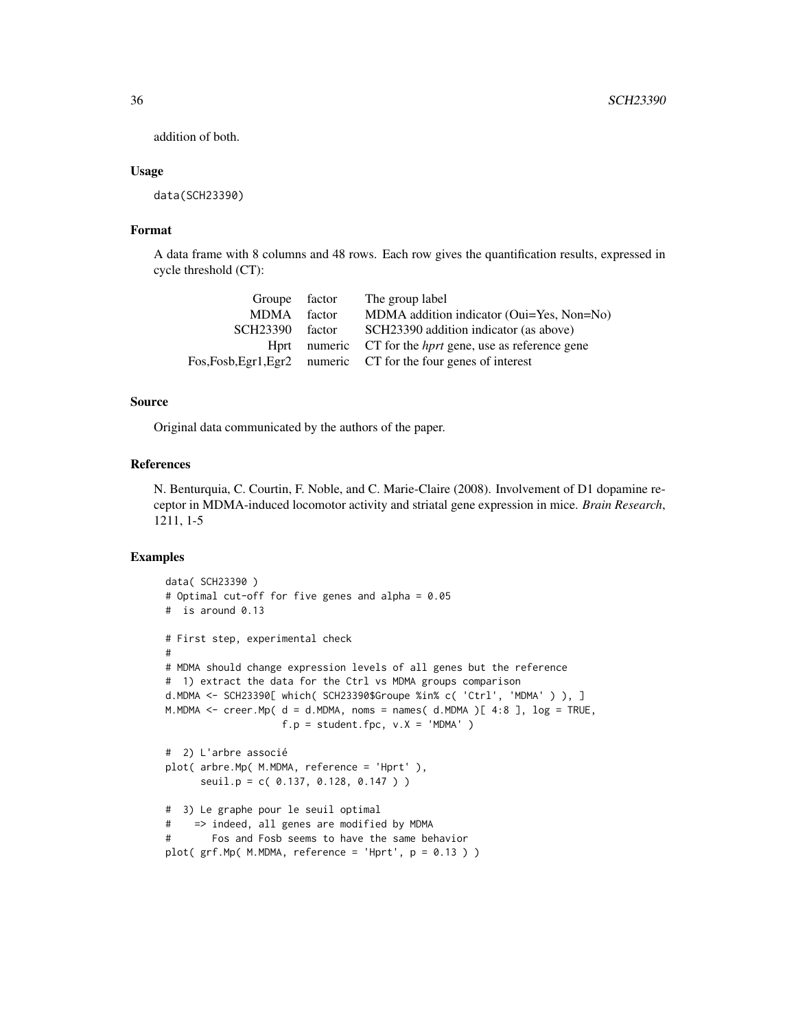addition of both.

#### Usage

data(SCH23390)

# Format

A data frame with 8 columns and 48 rows. Each row gives the quantification results, expressed in cycle threshold (CT):

| Groupe factor        |        | The group label                                                 |
|----------------------|--------|-----------------------------------------------------------------|
| <b>MDMA</b>          | factor | MDMA addition indicator (Oui=Yes, Non=No)                       |
| SCH <sub>23390</sub> | factor | SCH23390 addition indicator (as above)                          |
| Hprt                 |        | numeric CT for the <i>hprt</i> gene, use as reference gene      |
|                      |        | Fos, Fosb, Egr1, Egr2 numeric CT for the four genes of interest |

# Source

Original data communicated by the authors of the paper.

# References

N. Benturquia, C. Courtin, F. Noble, and C. Marie-Claire (2008). Involvement of D1 dopamine receptor in MDMA-induced locomotor activity and striatal gene expression in mice. *Brain Research*, 1211, 1-5

# Examples

```
data( SCH23390 )
# Optimal cut-off for five genes and alpha = 0.05
# is around 0.13
# First step, experimental check
#
# MDMA should change expression levels of all genes but the reference
# 1) extract the data for the Ctrl vs MDMA groups comparison
d.MDMA <- SCH23390[ which( SCH23390$Groupe %in% c( 'Ctrl', 'MDMA' ) ), ]
M.MDMA \leq creer.Mp( d = d.MDMA, noms = names( d.MDMA )[ 4:8 ], \log = TRUE,
                   f.p = student.fpc, v.X = 'MDMA' )# 2) L'arbre associé
plot( arbre.Mp( M.MDMA, reference = 'Hprt' ),
     seuil.p = c( 0.137, 0.128, 0.147 ) )
# 3) Le graphe pour le seuil optimal
# => indeed, all genes are modified by MDMA
# Fos and Fosb seems to have the same behavior
plot( grf.Mp( M.MDMA, reference = 'Hprt', p = 0.13 ) )
```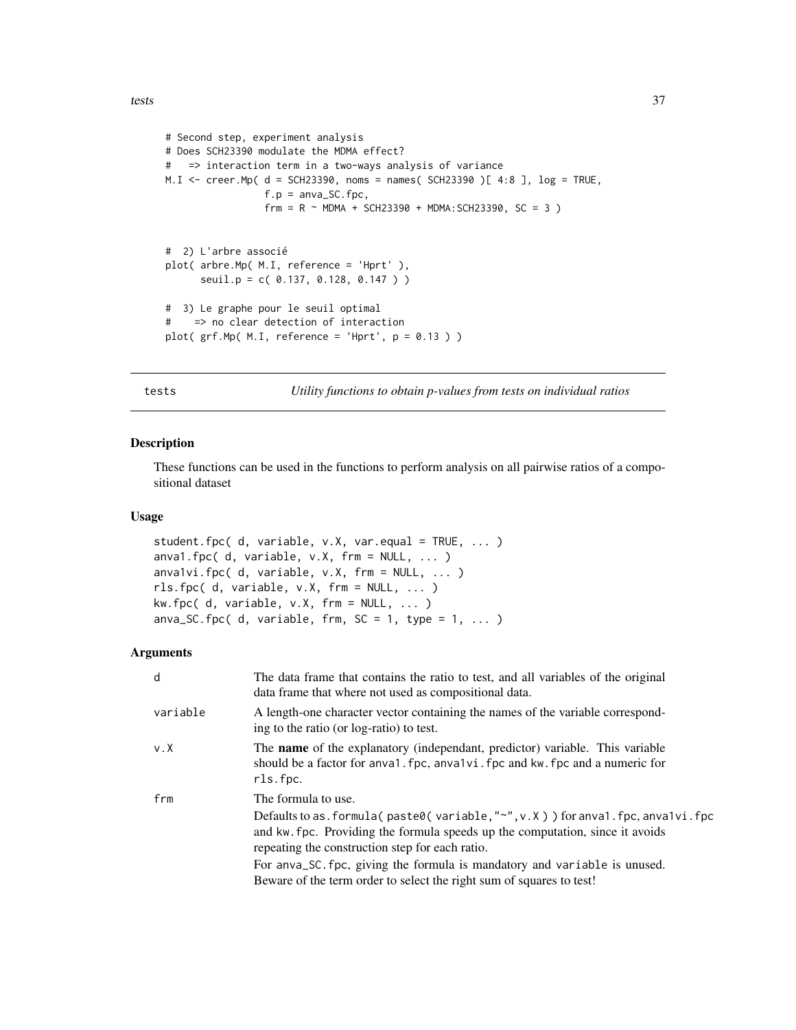```
# Second step, experiment analysis
# Does SCH23390 modulate the MDMA effect?
# => interaction term in a two-ways analysis of variance
M.I <- creer.Mp( d = SCH23390, noms = names( SCH23390 )[ 4:8 ], log = TRUE,
                f.p =anva_SC.fpc,
                frm = R ~ MDMA + SCH23390 + MDMA:SCH23390, SC = 3 )
# 2) L'arbre associé
plot( arbre.Mp( M.I, reference = 'Hprt' ),
     seuil.p = c( 0.137, 0.128, 0.147 ) )
# 3) Le graphe pour le seuil optimal
# => no clear detection of interaction
plot( grf.Mp( M.I, reference = 'Hprt', p = 0.13 ) )
```
tests *Utility functions to obtain p-values from tests on individual ratios*

#### <span id="page-36-1"></span>Description

These functions can be used in the functions to perform analysis on all pairwise ratios of a compositional dataset

# Usage

student.fpc( d, variable, v.X, var.equal = TRUE, ... ) anva1.fpc( $d$ , variable,  $v.X$ , frm = NULL,  $\dots$ ) anva1vi.fpc(  $d$ , variable,  $v.X$ , frm = NULL,  $\dots$  ) rls.fpc( d, variable, v.X, frm = NULL, ... )  $kw.fpc( d, variable, v.X, fm = NULL, ... )$ anva\_SC.fpc(d, variable, frm, SC = 1, type =  $1, ...$ )

| The data frame that contains the ratio to test, and all variables of the original<br>data frame that where not used as compositional data.                                                                                                                                                                                          |
|-------------------------------------------------------------------------------------------------------------------------------------------------------------------------------------------------------------------------------------------------------------------------------------------------------------------------------------|
| A length-one character vector containing the names of the variable correspond-<br>ing to the ratio (or log-ratio) to test.                                                                                                                                                                                                          |
| The name of the explanatory (independant, predictor) variable. This variable<br>should be a factor for any all fpc, any alvi. fpc and kw. fpc and a numeric for<br>rls.fpc.                                                                                                                                                         |
| The formula to use.<br>Defaults to as. formula( paste0( variable, " $\sim$ ", v.X ) ) for anva1. fpc, anva1vi. fpc<br>and kw. fpc. Providing the formula speeds up the computation, since it avoids<br>repeating the construction step for each ratio.<br>For anva_SC. fpc, giving the formula is mandatory and variable is unused. |
| Beware of the term order to select the right sum of squares to test!                                                                                                                                                                                                                                                                |
|                                                                                                                                                                                                                                                                                                                                     |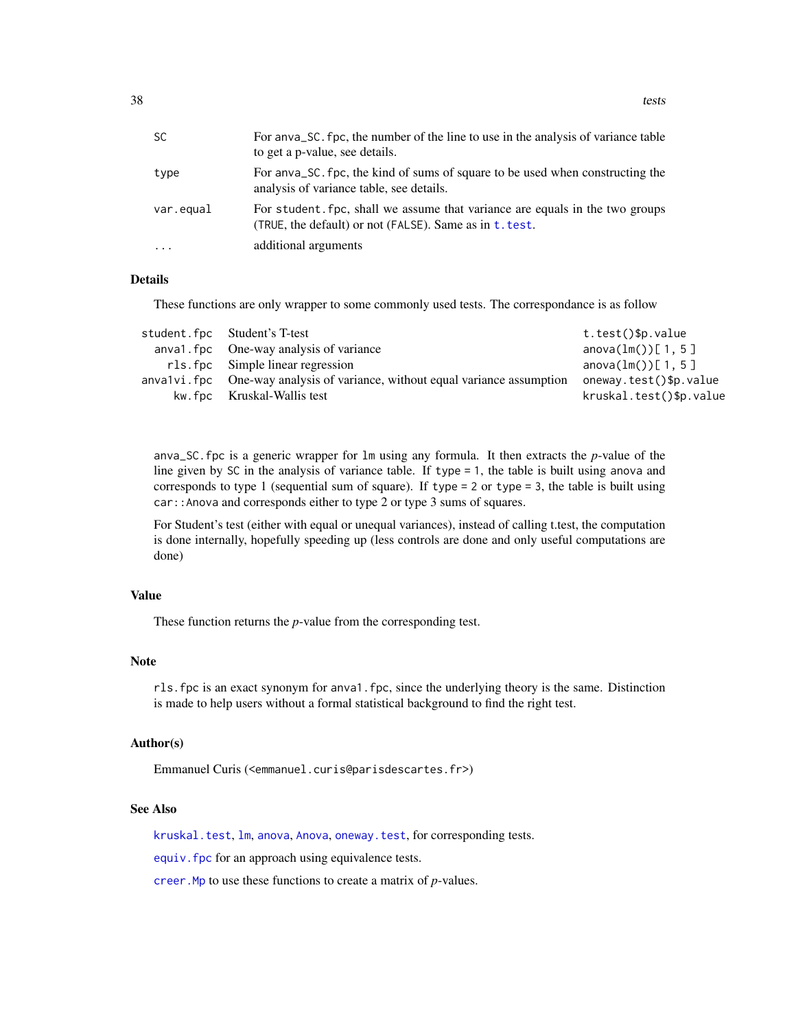<span id="page-37-0"></span>**38** tests and the contract of the contract of the contract of the contract of the contract of the contract of the contract of the contract of the contract of the contract of the contract of the contract of the contract of

| <b>SC</b> | For any algorithment of the line to use in the analysis of variance table<br>to get a p-value, see details.                             |
|-----------|-----------------------------------------------------------------------------------------------------------------------------------------|
| type      | For any a SC, fpc, the kind of sums of square to be used when constructing the<br>analysis of variance table, see details.              |
| var.equal | For student, fpc, shall we assume that variance are equals in the two groups<br>(TRUE, the default) or not (FALSE). Same as in t. test. |
| $\ddotsc$ | additional arguments                                                                                                                    |

#### Details

These functions are only wrapper to some commonly used tests. The correspondance is as follow

| student.fpc Student's T-test                                                 | t.test()\$p.value            |
|------------------------------------------------------------------------------|------------------------------|
| anval. fpc One-way analysis of variance                                      | anova $(\text{lm}())$ [1, 5] |
| rls.fpc Simple linear regression                                             | anova $(\text{lm}())[1, 5]$  |
| anvalvi. fpc One-way analysis of variance, without equal variance assumption | oneway.test()\$p.value       |
| kw. fpc Kruskal-Wallis test                                                  | kruskal.test()\$p.value      |

anva\_SC.fpc is a generic wrapper for lm using any formula. It then extracts the *p*-value of the line given by SC in the analysis of variance table. If type = 1, the table is built using anova and corresponds to type 1 (sequential sum of square). If type  $= 2$  or type  $= 3$ , the table is built using car::Anova and corresponds either to type 2 or type 3 sums of squares.

For Student's test (either with equal or unequal variances), instead of calling t.test, the computation is done internally, hopefully speeding up (less controls are done and only useful computations are done)

# Value

These function returns the *p*-value from the corresponding test.

#### Note

rls.fpc is an exact synonym for anva1.fpc, since the underlying theory is the same. Distinction is made to help users without a formal statistical background to find the right test.

# Author(s)

Emmanuel Curis (<emmanuel.curis@parisdescartes.fr>)

# See Also

[kruskal.test](#page-0-0), [lm](#page-0-0), [anova](#page-0-0), [Anova](#page-0-0), [oneway.test](#page-0-0), for corresponding tests.

[equiv.fpc](#page-21-1) for an approach using equivalence tests.

[creer.Mp](#page-17-1) to use these functions to create a matrix of *p*-values.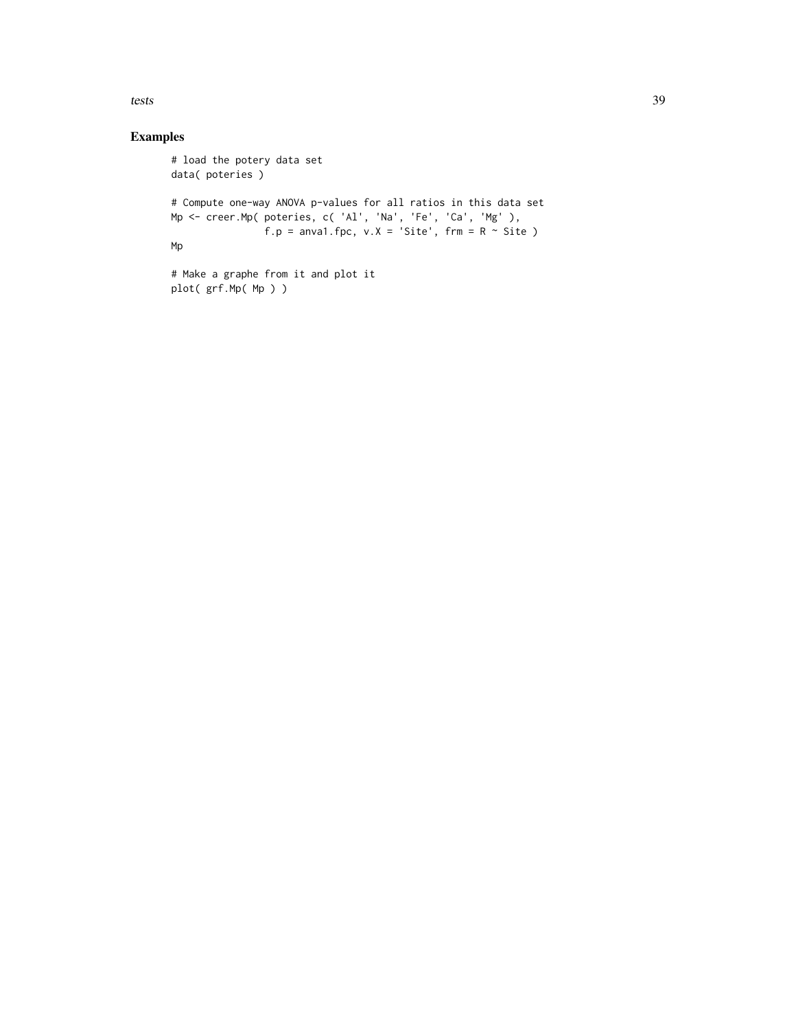tests 39

# Examples

plot( grf.Mp( Mp ) )

```
# load the potery data set
data( poteries )
# Compute one-way ANOVA p-values for all ratios in this data set
Mp <- creer.Mp( poteries, c( 'Al', 'Na', 'Fe', 'Ca', 'Mg' ),
               f.p = anval.fpc, v.X = 'Site', frm = R ~ site)
Mp
# Make a graphe from it and plot it
```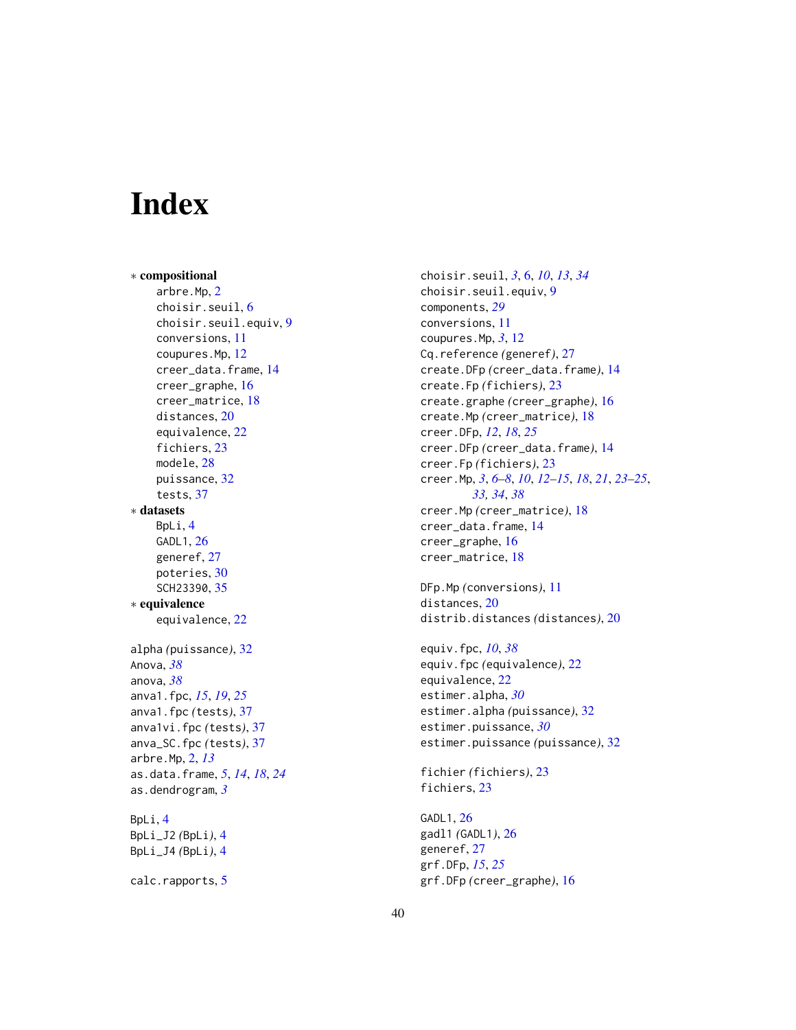# <span id="page-39-0"></span>**Index**

∗ compositional arbre.Mp, [2](#page-1-0) choisir.seuil, [6](#page-5-0) choisir.seuil.equiv, [9](#page-8-0) conversions, [11](#page-10-0) coupures.Mp, [12](#page-11-0) creer\_data.frame, [14](#page-13-0) creer\_graphe, [16](#page-15-0) creer\_matrice, [18](#page-17-0) distances, [20](#page-19-0) equivalence, [22](#page-21-0) fichiers, [23](#page-22-0) modele, [28](#page-27-0) puissance, [32](#page-31-0) tests, [37](#page-36-0) ∗ datasets BpLi, [4](#page-3-0) GADL1, [26](#page-25-0) generef, [27](#page-26-0) poteries, [30](#page-29-0) SCH23390, [35](#page-34-0) ∗ equivalence equivalence, [22](#page-21-0) alpha *(*puissance*)*, [32](#page-31-0) Anova, *[38](#page-37-0)* anova, *[38](#page-37-0)* anva1.fpc, *[15](#page-14-0)*, *[19](#page-18-0)*, *[25](#page-24-0)* anva1.fpc *(*tests*)*, [37](#page-36-0) anva1vi.fpc *(*tests*)*, [37](#page-36-0) anva\_SC.fpc *(*tests*)*, [37](#page-36-0) arbre.Mp, [2,](#page-1-0) *[13](#page-12-0)* as.data.frame, *[5](#page-4-0)*, *[14](#page-13-0)*, *[18](#page-17-0)*, *[24](#page-23-0)* as.dendrogram, *[3](#page-2-0)* BpLi, [4](#page-3-0) BpLi\_J2 *(*BpLi*)*, [4](#page-3-0) BpLi\_J4 *(*BpLi*)*, [4](#page-3-0) calc.rapports, [5](#page-4-0)

choisir.seuil, *[3](#page-2-0)*, [6,](#page-5-0) *[10](#page-9-0)*, *[13](#page-12-0)*, *[34](#page-33-0)* choisir.seuil.equiv, [9](#page-8-0) components, *[29](#page-28-0)* conversions, [11](#page-10-0) coupures.Mp, *[3](#page-2-0)*, [12](#page-11-0) Cq.reference *(*generef*)*, [27](#page-26-0) create.DFp *(*creer\_data.frame*)*, [14](#page-13-0) create.Fp *(*fichiers*)*, [23](#page-22-0) create.graphe *(*creer\_graphe*)*, [16](#page-15-0) create.Mp *(*creer\_matrice*)*, [18](#page-17-0) creer.DFp, *[12](#page-11-0)*, *[18](#page-17-0)*, *[25](#page-24-0)* creer.DFp *(*creer\_data.frame*)*, [14](#page-13-0) creer.Fp *(*fichiers*)*, [23](#page-22-0) creer.Mp, *[3](#page-2-0)*, *[6](#page-5-0)[–8](#page-7-0)*, *[10](#page-9-0)*, *[12](#page-11-0)[–15](#page-14-0)*, *[18](#page-17-0)*, *[21](#page-20-0)*, *[23](#page-22-0)[–25](#page-24-0)*, *[33,](#page-32-0) [34](#page-33-0)*, *[38](#page-37-0)* creer.Mp *(*creer\_matrice*)*, [18](#page-17-0) creer\_data.frame, [14](#page-13-0) creer\_graphe, [16](#page-15-0) creer\_matrice, [18](#page-17-0)

DFp.Mp *(*conversions*)*, [11](#page-10-0) distances, [20](#page-19-0) distrib.distances *(*distances*)*, [20](#page-19-0)

equiv.fpc, *[10](#page-9-0)*, *[38](#page-37-0)* equiv.fpc *(*equivalence*)*, [22](#page-21-0) equivalence, [22](#page-21-0) estimer.alpha, *[30](#page-29-0)* estimer.alpha *(*puissance*)*, [32](#page-31-0) estimer.puissance, *[30](#page-29-0)* estimer.puissance *(*puissance*)*, [32](#page-31-0)

fichier *(*fichiers*)*, [23](#page-22-0) fichiers, [23](#page-22-0)

GADL1, [26](#page-25-0) gadl1 *(*GADL1*)*, [26](#page-25-0) generef, [27](#page-26-0) grf.DFp, *[15](#page-14-0)*, *[25](#page-24-0)* grf.DFp *(*creer\_graphe*)*, [16](#page-15-0)